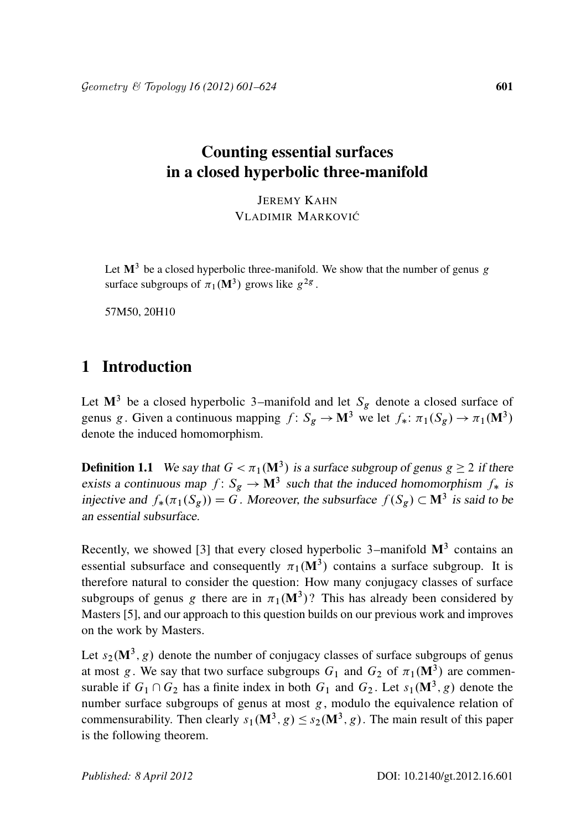# Counting essential surfaces in a closed hyperbolic three-manifold

JEREMY KAHN VLADIMIR MARKOVIĆ

Let  $M^3$  be a closed hyperbolic three-manifold. We show that the number of genus g surface subgroups of  $\pi_1(M^3)$  grows like  $g^{2g}$ .

57M50, 20H10

## 1 Introduction

Let  $M^3$  be a closed hyperbolic 3–manifold and let  $S_g$  denote a closed surface of genus g. Given a continuous mapping  $f: S_g \to M^3$  we let  $f_*: \pi_1(S_g) \to \pi_1(M^3)$ denote the induced homomorphism.

**Definition 1.1** We say that  $G < \pi_1(M^3)$  is a surface subgroup of genus  $g \ge 2$  if there exists a continuous map  $f: S_g \to M^3$  such that the induced homomorphism  $f_*$  is injective and  $f_*(\pi_1(S_g)) = G$ . Moreover, the subsurface  $f(S_g) \subset \mathbf{M}^3$  is said to be an essential subsurface.

Recently, we showed [3] that every closed hyperbolic 3–manifold  $M<sup>3</sup>$  contains an essential subsurface and consequently  $\pi_1(M^3)$  contains a surface subgroup. It is therefore natural to consider the question: How many conjugacy classes of surface subgroups of genus g there are in  $\pi_1(M^3)$ ? This has already been considered by Masters [5], and our approach to this question builds on our previous work and improves on the work by Masters.

Let  $s_2(M^3, g)$  denote the number of conjugacy classes of surface subgroups of genus at most g. We say that two surface subgroups  $G_1$  and  $G_2$  of  $\pi_1(\mathbf{M}^3)$  are commensurable if  $G_1 \cap G_2$  has a finite index in both  $G_1$  and  $G_2$ . Let  $s_1(M^3, g)$  denote the number surface subgroups of genus at most g, modulo the equivalence relation of commensurability. Then clearly  $s_1(M^3, g) \leq s_2(M^3, g)$ . The main result of this paper is the following theorem.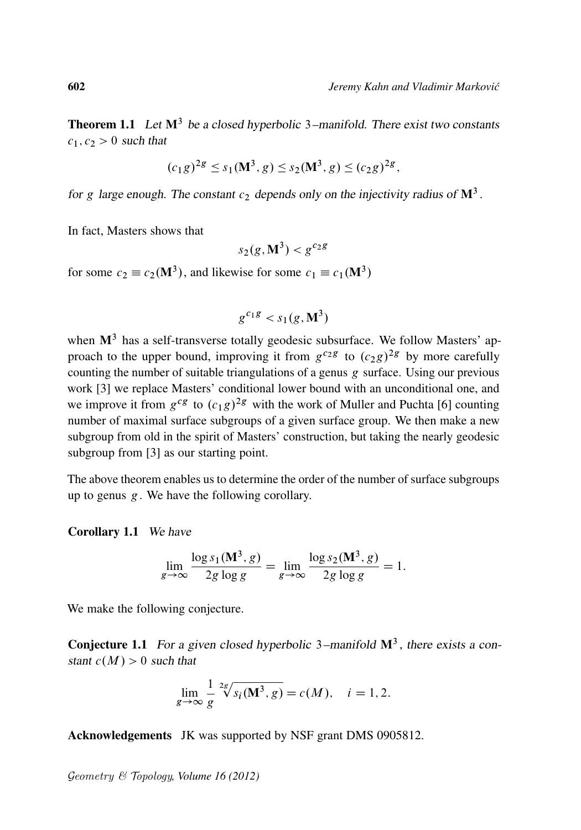**Theorem 1.1** Let  $M^3$  be a closed hyperbolic 3–manifold. There exist two constants  $c_1, c_2 > 0$  such that

$$
(c_1g)^{2g} \le s_1(M^3, g) \le s_2(M^3, g) \le (c_2g)^{2g},
$$

for g large enough. The constant  $c_2$  depends only on the injectivity radius of  $\mathbf{M}^3$ .

In fact, Masters shows that

$$
s_2(g, \mathbf{M}^3) < g^{c_2 g}
$$

for some  $c_2 \equiv c_2(M^3)$ , and likewise for some  $c_1 \equiv c_1(M^3)$ 

$$
g^{c_1g} < s_1(g, \mathbf{M}^3)
$$

when  $M<sup>3</sup>$  has a self-transverse totally geodesic subsurface. We follow Masters' approach to the upper bound, improving it from  $g^{c_2g}$  to  $(c_2g)^{2g}$  by more carefully counting the number of suitable triangulations of a genus g surface. Using our previous work [3] we replace Masters' conditional lower bound with an unconditional one, and we improve it from  $g^{cg}$  to  $(c_1g)^{2g}$  with the work of Muller and Puchta [6] counting number of maximal surface subgroups of a given surface group. We then make a new subgroup from old in the spirit of Masters' construction, but taking the nearly geodesic subgroup from [3] as our starting point.

The above theorem enables us to determine the order of the number of surface subgroups up to genus  $g$ . We have the following corollary.

#### Corollary 1.1 We have

$$
\lim_{g \to \infty} \frac{\log s_1(\mathbf{M}^3, g)}{2g \log g} = \lim_{g \to \infty} \frac{\log s_2(\mathbf{M}^3, g)}{2g \log g} = 1.
$$

We make the following conjecture.

**Conjecture 1.1** For a given closed hyperbolic  $3$ -manifold  $\mathbf{M}^3$ , there exists a constant  $c(M) > 0$  such that

$$
\lim_{g \to \infty} \frac{1}{g}^{2g} \sqrt[s]{s_i(M^3, g)} = c(M), \quad i = 1, 2.
$$

Acknowledgements JK was supported by NSF grant DMS 0905812.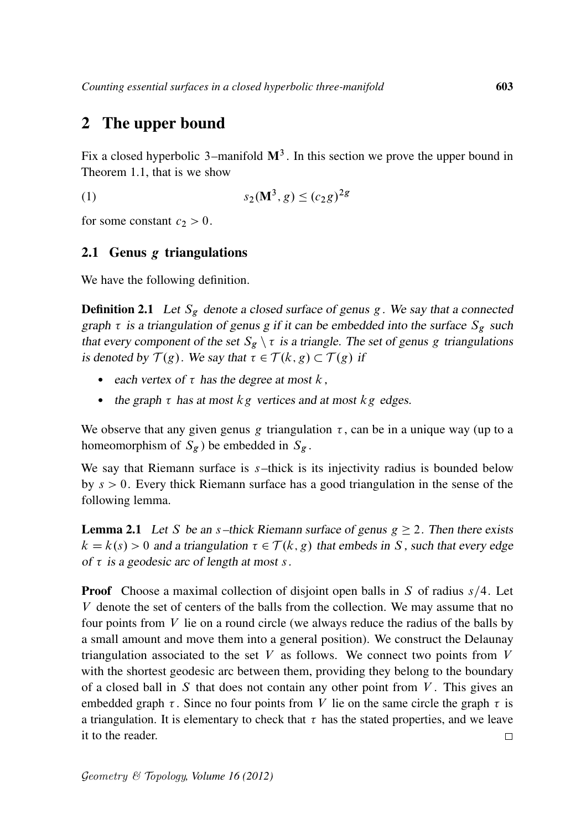# 2 The upper bound

Fix a closed hyperbolic 3–manifold  $\mathbf{M}^3$ . In this section we prove the upper bound in Theorem 1.1, that is we show

(1) 
$$
s_2(\mathbf{M}^3, g) \le (c_2 g)^{2g}
$$

for some constant  $c_2 > 0$ .

### 2.1 Genus g triangulations

We have the following definition.

**Definition 2.1** Let  $S_g$  denote a closed surface of genus g. We say that a connected graph  $\tau$  is a triangulation of genus g if it can be embedded into the surface  $S_g$  such that every component of the set  $S_g \setminus \tau$  is a triangle. The set of genus g triangulations is denoted by  $\mathcal{T}(g)$ . We say that  $\tau \in \mathcal{T}(k, g) \subset \mathcal{T}(g)$  if

- each vertex of  $\tau$  has the degree at most k,
- the graph  $\tau$  has at most kg vertices and at most kg edges.

We observe that any given genus g triangulation  $\tau$ , can be in a unique way (up to a homeomorphism of  $S_g$ ) be embedded in  $S_g$ .

We say that Riemann surface is  $s$ -thick is its injectivity radius is bounded below by  $s > 0$ . Every thick Riemann surface has a good triangulation in the sense of the following lemma.

**Lemma 2.1** Let S be an s-thick Riemann surface of genus  $g \ge 2$ . Then there exists  $k = k(s) > 0$  and a triangulation  $\tau \in \mathcal{T}(k, g)$  that embeds in S, such that every edge of  $\tau$  is a geodesic arc of length at most s.

**Proof** Choose a maximal collection of disjoint open balls in S of radius  $s/4$ . Let V denote the set of centers of the balls from the collection. We may assume that no four points from  $V$  lie on a round circle (we always reduce the radius of the balls by a small amount and move them into a general position). We construct the Delaunay triangulation associated to the set  $V$  as follows. We connect two points from  $V$ with the shortest geodesic arc between them, providing they belong to the boundary of a closed ball in S that does not contain any other point from  $V$ . This gives an embedded graph  $\tau$ . Since no four points from V lie on the same circle the graph  $\tau$  is a triangulation. It is elementary to check that  $\tau$  has the stated properties, and we leave it to the reader.  $\Box$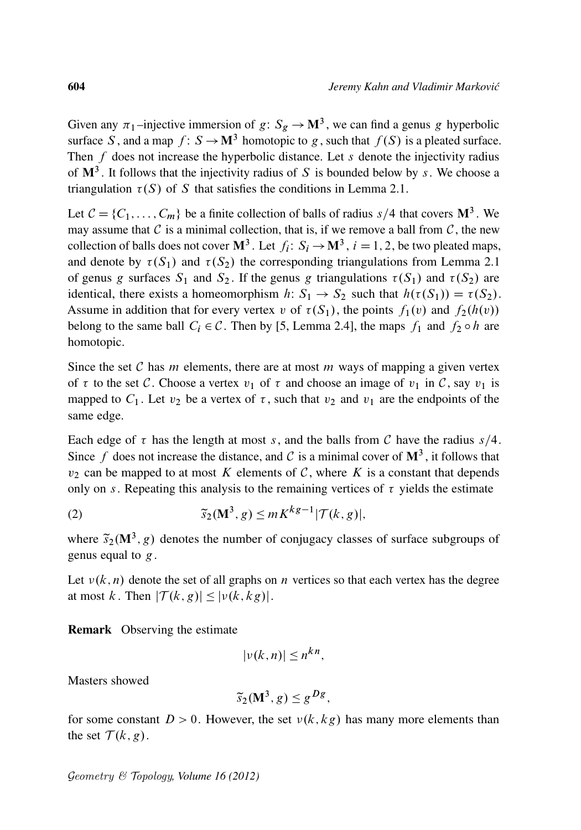Given any  $\pi_1$ -injective immersion of  $g: S_g \to M^3$ , we can find a genus g hyperbolic surface S, and a map  $f: S \to M^3$  homotopic to g, such that  $f(S)$  is a pleated surface. Then  $f$  does not increase the hyperbolic distance. Let  $s$  denote the injectivity radius of  $\mathbf{M}^3$ . It follows that the injectivity radius of S is bounded below by s. We choose a triangulation  $\tau(S)$  of S that satisfies the conditions in Lemma 2.1.

Let  $C = \{C_1, \ldots, C_m\}$  be a finite collection of balls of radius  $s/4$  that covers  $\mathbf{M}^3$ . We may assume that  $\mathcal C$  is a minimal collection, that is, if we remove a ball from  $\mathcal C$ , the new collection of balls does not cover  $M^3$ . Let  $f_i: S_i \to M^3$ ,  $i = 1, 2$ , be two pleated maps, and denote by  $\tau(S_1)$  and  $\tau(S_2)$  the corresponding triangulations from Lemma 2.1 of genus g surfaces  $S_1$  and  $S_2$ . If the genus g triangulations  $\tau(S_1)$  and  $\tau(S_2)$  are identical, there exists a homeomorphism  $h: S_1 \to S_2$  such that  $h(\tau(S_1)) = \tau(S_2)$ . Assume in addition that for every vertex v of  $\tau(S_1)$ , the points  $f_1(v)$  and  $f_2(h(v))$ belong to the same ball  $C_i \in \mathcal{C}$ . Then by [5, Lemma 2.4], the maps  $f_1$  and  $f_2 \circ h$  are homotopic.

Since the set C has m elements, there are at most m ways of mapping a given vertex of  $\tau$  to the set C. Choose a vertex  $v_1$  of  $\tau$  and choose an image of  $v_1$  in C, say  $v_1$  is mapped to  $C_1$ . Let  $v_2$  be a vertex of  $\tau$ , such that  $v_2$  and  $v_1$  are the endpoints of the same edge.

Each edge of  $\tau$  has the length at most s, and the balls from C have the radius  $s/4$ . Since f does not increase the distance, and C is a minimal cover of  $\mathbf{M}^3$ , it follows that  $v_2$  can be mapped to at most K elements of C, where K is a constant that depends only on s. Repeating this analysis to the remaining vertices of  $\tau$  yields the estimate

(2) 
$$
\widetilde{s}_2(\mathbf{M}^3, g) \leq mK^{kg-1}|\mathcal{T}(k, g)|,
$$

where  $\tilde{s}_2(M^3, g)$  denotes the number of conjugacy classes of surface subgroups of genus equal to  $g$ .

Let  $v(k, n)$  denote the set of all graphs on n vertices so that each vertex has the degree at most k. Then  $|\mathcal{T}(k, g)| \leq |v(k, kg)|$ .

Remark Observing the estimate

$$
|\nu(k,n)| \le n^{kn},
$$

Masters showed

$$
\widetilde{s}_2(\mathbf{M}^3, g) \leq g^{Dg},
$$

for some constant  $D > 0$ . However, the set  $v(k, kg)$  has many more elements than the set  $\mathcal{T}(k, g)$ .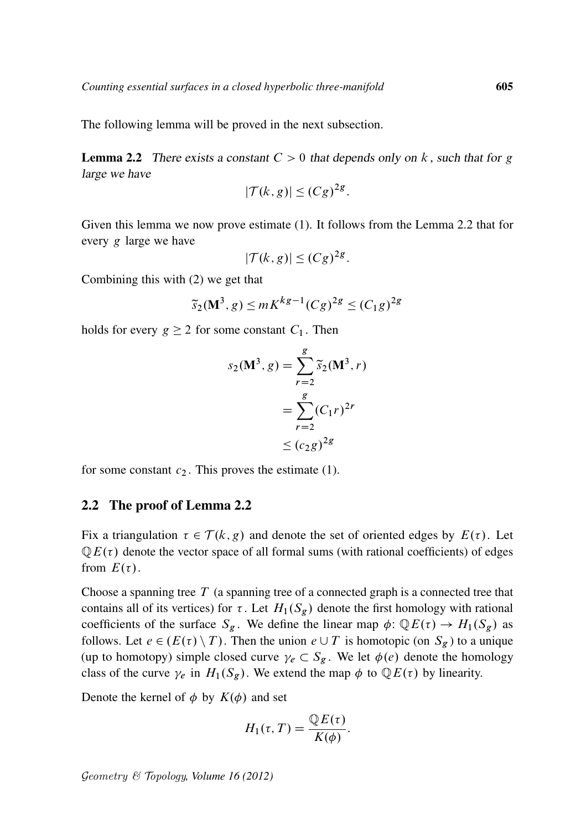The following lemma will be proved in the next subsection.

**Lemma 2.2** There exists a constant  $C > 0$  that depends only on k, such that for g large we have

$$
|\mathcal{T}(k,g)| \leq (Cg)^{2g}.
$$

Given this lemma we now prove estimate (1). It follows from the Lemma 2.2 that for every g large we have

$$
|\mathcal{T}(k,g)| \leq (Cg)^{2g}.
$$

Combining this with (2) we get that

$$
\widetilde{s}_2(M^3, g) \leq mK^{kg-1}(Cg)^{2g} \leq (C_1g)^{2g}
$$

holds for every  $g \ge 2$  for some constant  $C_1$ . Then

$$
s_2(\mathbf{M}^3, g) = \sum_{r=2}^{g} \widetilde{s}_2(\mathbf{M}^3, r)
$$

$$
= \sum_{r=2}^{g} (C_1 r)^{2r}
$$

$$
\leq (c_2 g)^{2g}
$$

for some constant  $c_2$ . This proves the estimate (1).

#### 2.2 The proof of Lemma 2.2

Fix a triangulation  $\tau \in \mathcal{T}(k, g)$  and denote the set of oriented edges by  $E(\tau)$ . Let  $QE(\tau)$  denote the vector space of all formal sums (with rational coefficients) of edges from  $E(\tau)$ .

Choose a spanning tree  $T$  (a spanning tree of a connected graph is a connected tree that contains all of its vertices) for  $\tau$ . Let  $H_1(S_g)$  denote the first homology with rational coefficients of the surface  $S_g$ . We define the linear map  $\phi: \mathbb{Q}E(\tau) \to H_1(S_g)$  as follows. Let  $e \in (E(\tau) \setminus T)$ . Then the union  $e \cup T$  is homotopic (on  $S_g$ ) to a unique (up to homotopy) simple closed curve  $\gamma_e \subset S_g$ . We let  $\phi(e)$  denote the homology class of the curve  $\gamma_e$  in  $H_1(S_g)$ . We extend the map  $\phi$  to  $\mathbb{Q}E(\tau)$  by linearity.

Denote the kernel of  $\phi$  by  $K(\phi)$  and set

$$
H_1(\tau,T) = \frac{\mathbb{Q}E(\tau)}{K(\phi)}.
$$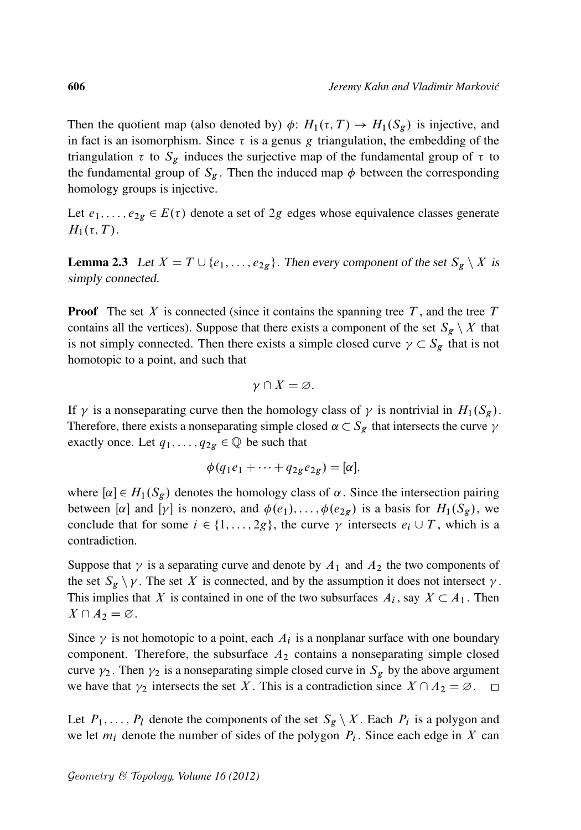Then the quotient map (also denoted by)  $\phi: H_1(\tau, T) \to H_1(S_g)$  is injective, and in fact is an isomorphism. Since  $\tau$  is a genus g triangulation, the embedding of the triangulation  $\tau$  to  $S_g$  induces the surjective map of the fundamental group of  $\tau$  to the fundamental group of  $S_g$ . Then the induced map  $\phi$  between the corresponding homology groups is injective.

Let  $e_1, \ldots, e_{2g} \in E(\tau)$  denote a set of 2g edges whose equivalence classes generate  $H_1(\tau, T)$ .

**Lemma 2.3** Let  $X = T \cup \{e_1, \ldots, e_{2g}\}\$ . Then every component of the set  $S_g \setminus X$  is simply connected.

**Proof** The set X is connected (since it contains the spanning tree  $T$ , and the tree  $T$ contains all the vertices). Suppose that there exists a component of the set  $S_g \setminus X$  that is not simply connected. Then there exists a simple closed curve  $\gamma \subset S_g$  that is not homotopic to a point, and such that

$$
\gamma \cap X = \varnothing.
$$

If  $\gamma$  is a nonseparating curve then the homology class of  $\gamma$  is nontrivial in  $H_1(S_g)$ . Therefore, there exists a nonseparating simple closed  $\alpha \subset S_g$  that intersects the curve  $\gamma$ exactly once. Let  $q_1, \ldots, q_{2g} \in \mathbb{Q}$  be such that

$$
\phi(q_1e_1+\cdots+q_{2g}e_{2g})=[\alpha],
$$

where  $[\alpha] \in H_1(S_g)$  denotes the homology class of  $\alpha$ . Since the intersection pairing between [ $\alpha$ ] and [ $\gamma$ ] is nonzero, and  $\phi(e_1), \ldots, \phi(e_{2g})$  is a basis for  $H_1(S_g)$ , we conclude that for some  $i \in \{1, ..., 2g\}$ , the curve  $\gamma$  intersects  $e_i \cup T$ , which is a contradiction.

Suppose that  $\gamma$  is a separating curve and denote by  $A_1$  and  $A_2$  the two components of the set  $S_g \setminus \gamma$ . The set X is connected, and by the assumption it does not intersect  $\gamma$ . This implies that X is contained in one of the two subsurfaces  $A_i$ , say  $X \subset A_1$ . Then  $X \cap A_2 = \varnothing$ .

Since  $\gamma$  is not homotopic to a point, each  $A_i$  is a nonplanar surface with one boundary component. Therefore, the subsurface  $A_2$  contains a nonseparating simple closed curve  $\gamma_2$ . Then  $\gamma_2$  is a nonseparating simple closed curve in  $S_g$  by the above argument we have that  $\gamma_2$  intersects the set X. This is a contradiction since  $X \cap A_2 = \emptyset$ .  $\Box$ 

Let  $P_1, \ldots, P_l$  denote the components of the set  $S_g \setminus X$ . Each  $P_i$  is a polygon and we let  $m_i$  denote the number of sides of the polygon  $P_i$ . Since each edge in X can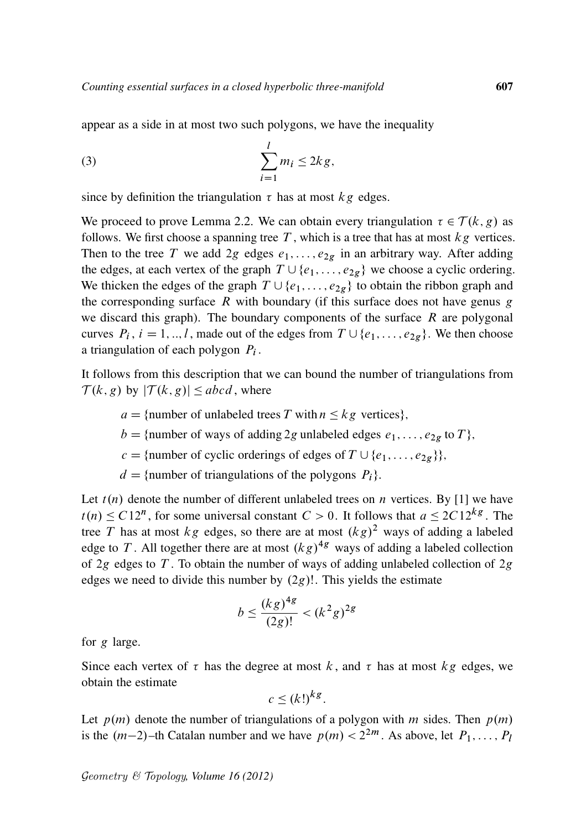appear as a side in at most two such polygons, we have the inequality

$$
(3) \qquad \qquad \sum_{i=1}^{l} m_i \leq 2kg,
$$

since by definition the triangulation  $\tau$  has at most  $kg$  edges.

We proceed to prove Lemma 2.2. We can obtain every triangulation  $\tau \in \mathcal{T}(k, g)$  as follows. We first choose a spanning tree  $T$ , which is a tree that has at most  $kg$  vertices. Then to the tree T we add 2g edges  $e_1, \ldots, e_{2g}$  in an arbitrary way. After adding the edges, at each vertex of the graph  $T \cup \{e_1, \ldots, e_{2g}\}\$  we choose a cyclic ordering. We thicken the edges of the graph  $T \cup \{e_1, \ldots, e_{2g}\}\$  to obtain the ribbon graph and the corresponding surface  $R$  with boundary (if this surface does not have genus  $g$ we discard this graph). The boundary components of the surface  $R$  are polygonal curves  $P_i$ ,  $i = 1, ..., l$ , made out of the edges from  $T \cup \{e_1, ..., e_{2g}\}\$ . We then choose a triangulation of each polygon  $P_i$ .

It follows from this description that we can bound the number of triangulations from  $\mathcal{T}(k, g)$  by  $|\mathcal{T}(k, g)| \leq abcd$ , where

- $a = \{\text{number of unlabeled trees } T \text{ with } n \leq kg \text{ vertices}\},\$
- $b = \{\text{number of ways of adding } 2g \text{ unlabeled edges } e_1, \ldots, e_{2g} \text{ to } T\},\$
- $c =$ {number of cyclic orderings of edges of  $T \cup \{e_1, \ldots, e_{2g}\}\},\,$
- $d = \{$ number of triangulations of the polygons  $P_i$ .

Let  $t(n)$  denote the number of different unlabeled trees on n vertices. By [1] we have  $t(n) \le C12^n$ , for some universal constant  $C > 0$ . It follows that  $a \le 2C12^{kg}$ . The tree T has at most  $kg$  edges, so there are at most  $(kg)^2$  ways of adding a labeled edge to T. All together there are at most  $(kg)^{4g}$  ways of adding a labeled collection of 2g edges to T. To obtain the number of ways of adding unlabeled collection of 2g edges we need to divide this number by  $(2g)$ !. This yields the estimate

$$
b \le \frac{(kg)^{4g}}{(2g)!} < (k^2g)^{2g}
$$

for g large.

Since each vertex of  $\tau$  has the degree at most k, and  $\tau$  has at most kg edges, we obtain the estimate

$$
c \le (k!)^{kg}.
$$

Let  $p(m)$  denote the number of triangulations of a polygon with m sides. Then  $p(m)$ is the  $(m-2)$ -th Catalan number and we have  $p(m) < 2^{2m}$ . As above, let  $P_1, \ldots, P_l$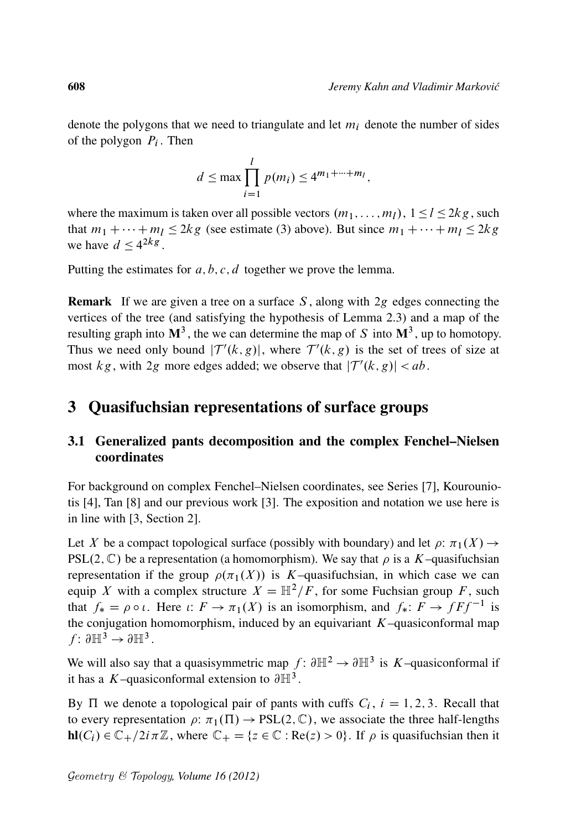denote the polygons that we need to triangulate and let  $m_i$  denote the number of sides of the polygon  $P_i$ . Then

$$
d \le \max \prod_{i=1}^{l} p(m_i) \le 4^{m_1 + \dots + m_l},
$$

where the maximum is taken over all possible vectors  $(m_1, \ldots, m_l)$ ,  $1 \le l \le 2kg$ , such that  $m_1 + \cdots + m_l \leq 2kg$  (see estimate (3) above). But since  $m_1 + \cdots + m_l \leq 2kg$ we have  $d \leq 4^{2kg}$ .

Putting the estimates for  $a, b, c, d$  together we prove the lemma.

**Remark** If we are given a tree on a surface  $S$ , along with  $2g$  edges connecting the vertices of the tree (and satisfying the hypothesis of Lemma 2.3) and a map of the resulting graph into  $M^3$ , the we can determine the map of S into  $M^3$ , up to homotopy. Thus we need only bound  $|T'(k, g)|$ , where  $T'(k, g)$  is the set of trees of size at most  $kg$ , with 2g more edges added; we observe that  $|T'(k, g)| < ab$ .

## 3 Quasifuchsian representations of surface groups

### 3.1 Generalized pants decomposition and the complex Fenchel–Nielsen coordinates

For background on complex Fenchel–Nielsen coordinates, see Series [7], Kourouniotis [4], Tan [8] and our previous work [3]. The exposition and notation we use here is in line with [3, Section 2].

Let X be a compact topological surface (possibly with boundary) and let  $\rho$ :  $\pi_1(X) \rightarrow$ PSL $(2, \mathbb{C})$  be a representation (a homomorphism). We say that  $\rho$  is a K–quasifuchsian representation if the group  $\rho(\pi_1(X))$  is K–quasifuchsian, in which case we can equip X with a complex structure  $X = \mathbb{H}^2/F$ , for some Fuchsian group F, such that  $f_* = \rho \circ \iota$ . Here  $\iota: F \to \pi_1(X)$  is an isomorphism, and  $f_*: F \to fFf^{-1}$  is the conjugation homomorphism, induced by an equivariant  $K$ –quasiconformal map  $f: \partial \mathbb{H}^3 \to \partial \mathbb{H}^3$ .

We will also say that a quasisymmetric map  $f: \partial \mathbb{H}^2 \to \partial \mathbb{H}^3$  is K-quasiconformal if it has a K-quasiconformal extension to  $\partial \mathbb{H}^3$ .

By  $\Pi$  we denote a topological pair of pants with cuffs  $C_i$ ,  $i = 1, 2, 3$ . Recall that to every representation  $\rho: \pi_1(\Pi) \to PSL(2,\mathbb{C})$ , we associate the three half-lengths  $\textbf{hl}(C_i) \in \mathbb{C}_+ / 2i\pi\mathbb{Z}$ , where  $\mathbb{C}_+ = \{z \in \mathbb{C} : \textbf{Re}(z) > 0\}$ . If  $\rho$  is quasifuchsian then it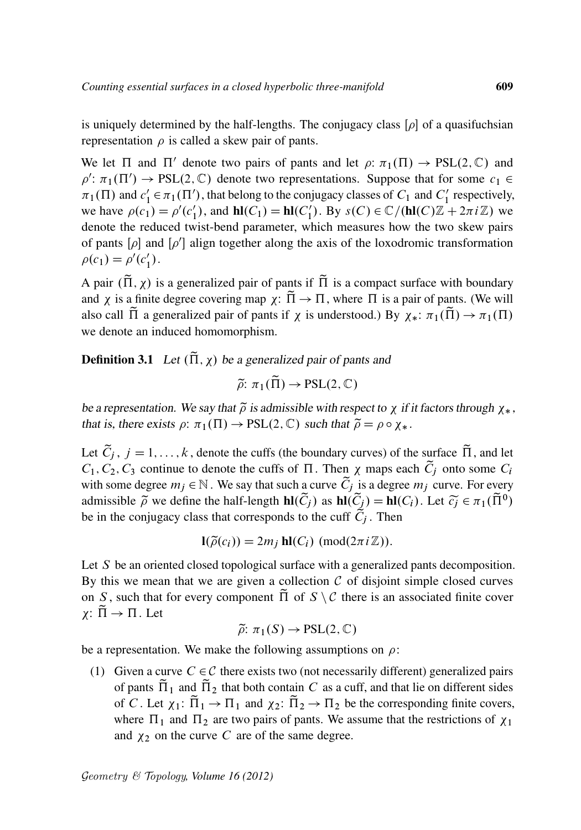is uniquely determined by the half-lengths. The conjugacy class  $[\rho]$  of a quasifuchsian representation  $\rho$  is called a skew pair of pants.

We let  $\Pi$  and  $\Pi'$  denote two pairs of pants and let  $\rho: \pi_1(\Pi) \to PSL(2,\mathbb{C})$  and  $\rho' : \pi_1(\Pi') \to PSL(2, \mathbb{C})$  denote two representations. Suppose that for some  $c_1 \in$  $\pi_1(\Pi)$  and  $c'_1$  $C_1' \in \pi_1(\Pi')$ , that belong to the conjugacy classes of  $C_1$  and  $C_1'$  $\frac{1}{1}$  respectively, we have  $\rho(c_1) = \rho'(c_1')$  $I_1$ ), and  $\mathbf{hl}(C_1) = \mathbf{hl}(C_1)$  $S'_1$ ). By  $s(C) \in \mathbb{C}/(\mathbf{hl}(C)\mathbb{Z} + 2\pi i \mathbb{Z})$  we denote the reduced twist-bend parameter, which measures how the two skew pairs of pants  $[\rho]$  and  $[\rho']$  align together along the axis of the loxodromic transformation  $\rho(c_1) = \rho'(c'_1)$  $'_{1}).$ 

A pair  $(\tilde{\Pi}, \chi)$  is a generalized pair of pants if  $\tilde{\Pi}$  is a compact surface with boundary and  $\chi$  is a finite degree covering map  $\chi: \tilde{\Pi} \to \Pi$ , where  $\Pi$  is a pair of pants. (We will also call  $\tilde{\Pi}$  a generalized pair of pants if  $\chi$  is understood.) By  $\chi_*: \pi_1(\tilde{\Pi}) \to \pi_1(\Pi)$ we denote an induced homomorphism.

**Definition 3.1** Let  $(\tilde{\Pi}, \chi)$  be a generalized pair of pants and

 $\tilde{\rho}$ :  $\pi_1(\tilde{\Pi}) \rightarrow \text{PSL}(2,\mathbb{C})$ 

be a representation. We say that  $\tilde{\rho}$  is admissible with respect to  $\chi$  if it factors through  $\chi_*$ , that is, there exists  $\rho: \pi_1(\Pi) \to \text{PSL}(2,\mathbb{C})$  such that  $\tilde{\rho} = \rho \circ \chi_*$ .

Let  $\tilde{C}_j$ ,  $j = 1, ..., k$ , denote the cuffs (the boundary curves) of the surface  $\tilde{\Pi}$ , and let  $C_1$ ,  $C_2$ ,  $C_3$  continue to denote the cuffs of  $\Pi$ . Then  $\chi$  maps each  $\tilde{C}_i$  onto some  $C_i$ with some degree  $m_j \in \mathbb{N}$ . We say that such a curve  $\tilde{C}_j$  is a degree  $m_j$  curve. For every admissible  $\tilde{\rho}$  we define the half-length  $\mathbf{hl}(\tilde{C}_j)$  as  $\mathbf{hl}(\tilde{C}_j) = \mathbf{hl}(C_i)$ . Let  $\tilde{c}_j \in \pi_1(\tilde{\Pi}^0)$ be in the conjugacy class that corresponds to the cuff  $C_j$ . Then

$$
I(\widetilde{\rho}(c_i)) = 2m_j \text{ hl}(C_i) \text{ (mod}(2\pi i \mathbb{Z})).
$$

Let S be an oriented closed topological surface with a generalized pants decomposition. By this we mean that we are given a collection  $C$  of disjoint simple closed curves on S, such that for every component  $\Pi$  of  $S \setminus C$  there is an associated finite cover  $\chi: \tilde{\Pi} \to \Pi$ . Let

$$
\widetilde{\rho} : \pi_1(S) \to \mathrm{PSL}(2, \mathbb{C})
$$

be a representation. We make the following assumptions on  $\rho$ :

(1) Given a curve  $C \in \mathcal{C}$  there exists two (not necessarily different) generalized pairs of pants  $\tilde{\Pi}_1$  and  $\tilde{\Pi}_2$  that both contain C as a cuff, and that lie on different sides of C. Let  $\chi_1: \tilde{\Pi}_1 \to \Pi_1$  and  $\chi_2: \tilde{\Pi}_2 \to \Pi_2$  be the corresponding finite covers, where  $\Pi_1$  and  $\Pi_2$  are two pairs of pants. We assume that the restrictions of  $\chi_1$ and  $\chi_2$  on the curve C are of the same degree.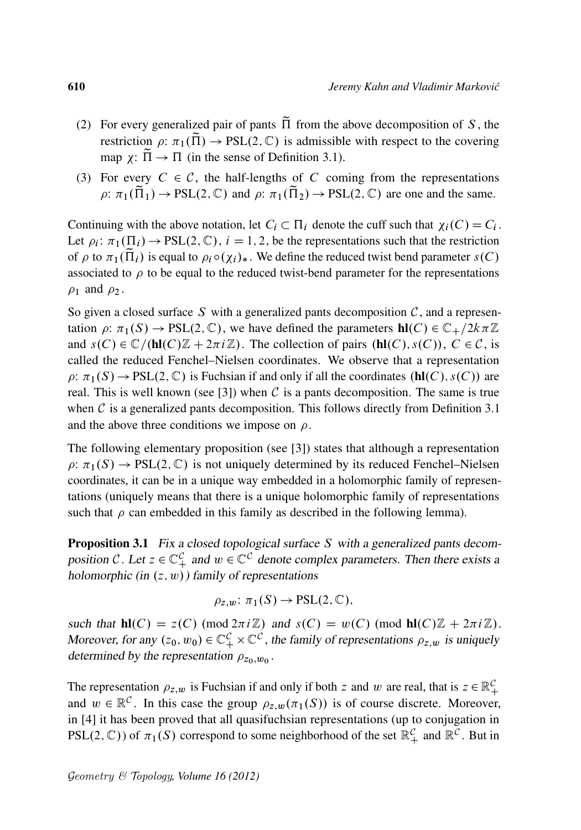- (2) For every generalized pair of pants  $\tilde{\Pi}$  from the above decomposition of S, the restriction  $\rho: \pi_1(\tilde{\Pi}) \to \text{PSL}(2,\mathbb{C})$  is admissible with respect to the covering map  $\chi: \tilde{\Pi} \to \Pi$  (in the sense of Definition 3.1).
- (3) For every  $C \in \mathcal{C}$ , the half-lengths of C coming from the representations  $\rho: \pi_1(\tilde{\Pi}_1) \to \text{PSL}(2, \mathbb{C})$  and  $\rho: \pi_1(\tilde{\Pi}_2) \to \text{PSL}(2, \mathbb{C})$  are one and the same.

Continuing with the above notation, let  $C_i \subset \Pi_i$  denote the cuff such that  $\chi_i(C) = C_i$ . Let  $\rho_i: \pi_1(\Pi_i) \to \text{PSL}(2, \mathbb{C}), i = 1, 2$ , be the representations such that the restriction of  $\rho$  to  $\pi_1(\tilde{\Pi}_i)$  is equal to  $\rho_i \circ (\chi_i)_*$ . We define the reduced twist bend parameter  $s(C)$ associated to  $\rho$  to be equal to the reduced twist-bend parameter for the representations  $\rho_1$  and  $\rho_2$ .

So given a closed surface S with a generalized pants decomposition  $C$ , and a representation  $\rho: \pi_1(S) \to PSL(2, \mathbb{C})$ , we have defined the parameters  $\textbf{hl}(C) \in \mathbb{C}_+ / 2k\pi\mathbb{Z}$ and  $s(C) \in \mathbb{C}/(\mathbf{hl}(C)\mathbb{Z} + 2\pi i\mathbb{Z})$ . The collection of pairs  $(\mathbf{hl}(C), s(C))$ ,  $C \in \mathcal{C}$ , is called the reduced Fenchel–Nielsen coordinates. We observe that a representation  $\rho: \pi_1(S) \to PSL(2, \mathbb{C})$  is Fuchsian if and only if all the coordinates  $(hI(C), s(C))$  are real. This is well known (see [3]) when C is a pants decomposition. The same is true when  $C$  is a generalized pants decomposition. This follows directly from Definition 3.1 and the above three conditions we impose on  $\rho$ .

The following elementary proposition (see [3]) states that although a representation  $\rho: \pi_1(S) \to \text{PSL}(2, \mathbb{C})$  is not uniquely determined by its reduced Fenchel–Nielsen coordinates, it can be in a unique way embedded in a holomorphic family of representations (uniquely means that there is a unique holomorphic family of representations such that  $\rho$  can embedded in this family as described in the following lemma).

Proposition 3.1 Fix a closed topological surface S with a generalized pants decomposition C. Let  $z \in \mathbb{C}_+^{\mathcal{C}}$  and  $w \in \mathbb{C}^{\mathcal{C}}$  denote complex parameters. Then there exists a holomorphic (in  $(z, w)$ ) family of representations

$$
\rho_{z,w} \colon \pi_1(S) \to \mathrm{PSL}(2,\mathbb{C}),
$$

such that  $\text{hl}(C) = z(C) \pmod{2\pi i \mathbb{Z}}$  and  $s(C) = w(C) \pmod{\text{hl}(C)\mathbb{Z} + 2\pi i \mathbb{Z}}$ . Moreover, for any  $(z_0, w_0) \in \mathbb{C}_+^{\mathcal{C}} \times \mathbb{C}^{\mathcal{C}}$ , the family of representations  $\rho_{z,w}$  is uniquely determined by the representation  $\rho_{z_0,w_0}$ .

The representation  $\rho_{z,w}$  is Fuchsian if and only if both z and w are real, that is  $z \in \mathbb{R}^{\mathcal{C}}_+$ and  $w \in \mathbb{R}^{\mathcal{C}}$ . In this case the group  $\rho_{z,w}(\pi_1(S))$  is of course discrete. Moreover, in [4] it has been proved that all quasifuchsian representations (up to conjugation in PSL(2, C)) of  $\pi_1(S)$  correspond to some neighborhood of the set  $\mathbb{R}_+^{\mathcal{C}}$  and  $\mathbb{R}^{\mathcal{C}}$ . But in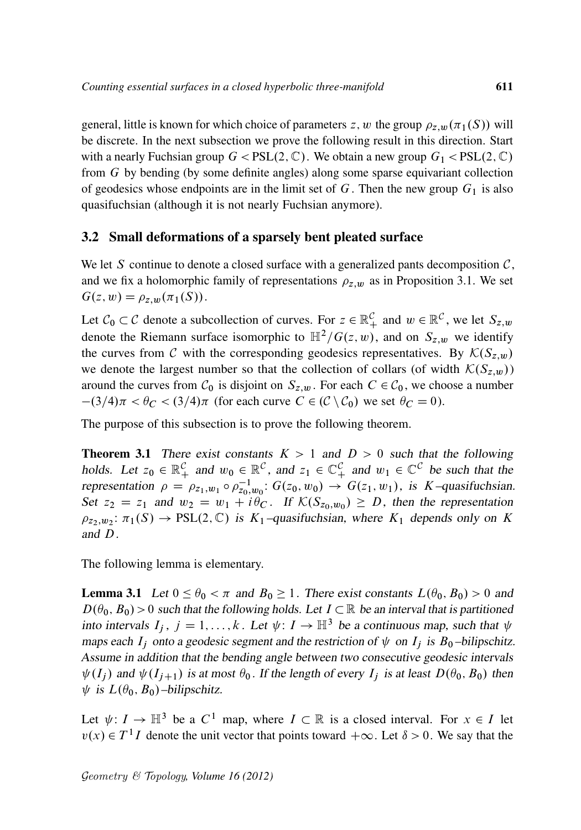general, little is known for which choice of parameters z, w the group  $\rho_{z,w}(\pi_1(S))$  will be discrete. In the next subsection we prove the following result in this direction. Start with a nearly Fuchsian group  $G < PSL(2, \mathbb{C})$ . We obtain a new group  $G_1 < PSL(2, \mathbb{C})$ from G by bending (by some definite angles) along some sparse equivariant collection of geodesics whose endpoints are in the limit set of G. Then the new group  $G_1$  is also quasifuchsian (although it is not nearly Fuchsian anymore).

### 3.2 Small deformations of a sparsely bent pleated surface

We let S continue to denote a closed surface with a generalized pants decomposition  $C$ , and we fix a holomorphic family of representations  $\rho_{z,w}$  as in Proposition 3.1. We set  $G(z, w) = \rho_{z,w}(\pi_1(S)).$ 

Let  $C_0 \subset C$  denote a subcollection of curves. For  $z \in \mathbb{R}_+^C$  and  $w \in \mathbb{R}^C$ , we let  $S_{z,w}$ denote the Riemann surface isomorphic to  $\mathbb{H}^2/G(z,w)$ , and on  $S_{z,w}$  we identify the curves from C with the corresponding geodesics representatives. By  $\mathcal{K}(S_{z,w})$ we denote the largest number so that the collection of collars (of width  $\mathcal{K}(S_{z,w})$ ) around the curves from  $C_0$  is disjoint on  $S_{z,w}$ . For each  $C \in C_0$ , we choose a number  $-(3/4)\pi < \theta_C < (3/4)\pi$  (for each curve  $C \in (\mathcal{C} \setminus \mathcal{C}_0)$  we set  $\theta_C = 0$ ).

The purpose of this subsection is to prove the following theorem.

**Theorem 3.1** There exist constants  $K > 1$  and  $D > 0$  such that the following holds. Let  $z_0 \in \mathbb{R}_+^{\mathcal{C}}$  and  $w_0 \in \mathbb{R}^{\mathcal{C}}$ , and  $z_1 \in \mathbb{C}_+^{\mathcal{C}}$  and  $w_1 \in \mathbb{C}^{\mathcal{C}}$  be such that the representation  $\rho = \rho_{z_1,w_1} \circ \rho_{z_0,w_0}^{-1}$ :  $G(z_0,w_0) \to G(z_1,w_1)$ , is K-quasifuchsian. Set  $z_2 = z_1$  and  $w_2 = w_1 + i\theta_C$ . If  $\mathcal{K}(S_{z_0,w_0}) \ge D$ , then the representation  $\rho_{z_2,w_2}$ :  $\pi_1(S) \to \text{PSL}(2,\mathbb{C})$  is  $K_1$ -quasifuchsian, where  $K_1$  depends only on K and D.

The following lemma is elementary.

**Lemma 3.1** Let  $0 \le \theta_0 < \pi$  and  $B_0 \ge 1$ . There exist constants  $L(\theta_0, B_0) > 0$  and  $D(\theta_0, B_0) > 0$  such that the following holds. Let  $I \subset \mathbb{R}$  be an interval that is partitioned into intervals  $I_i$ ,  $j = 1, ..., k$ . Let  $\psi: I \to \mathbb{H}^3$  be a continuous map, such that  $\psi$ maps each  $I_i$  onto a geodesic segment and the restriction of  $\psi$  on  $I_i$  is  $B_0$ -bilipschitz. Assume in addition that the bending angle between two consecutive geodesic intervals  $\psi(I_i)$  and  $\psi(I_{i+1})$  is at most  $\theta_0$ . If the length of every  $I_i$  is at least  $D(\theta_0, B_0)$  then  $\psi$  is  $L(\theta_0, B_0)$ –bilipschitz.

Let  $\psi: I \to \mathbb{H}^3$  be a  $C^1$  map, where  $I \subset \mathbb{R}$  is a closed interval. For  $x \in I$  let  $v(x) \in T<sup>1</sup>I$  denote the unit vector that points toward  $+\infty$ . Let  $\delta > 0$ . We say that the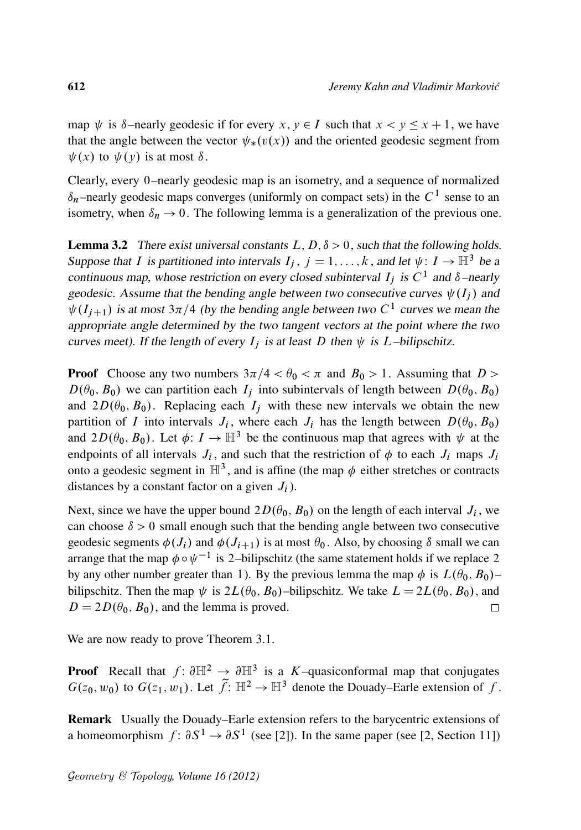map  $\psi$  is  $\delta$ –nearly geodesic if for every  $x, y \in I$  such that  $x < y \le x + 1$ , we have that the angle between the vector  $\psi_*(v(x))$  and the oriented geodesic segment from  $\psi(x)$  to  $\psi(y)$  is at most  $\delta$ .

Clearly, every 0–nearly geodesic map is an isometry, and a sequence of normalized  $\delta_n$ -nearly geodesic maps converges (uniformly on compact sets) in the  $C^1$  sense to an isometry, when  $\delta_n \to 0$ . The following lemma is a generalization of the previous one.

**Lemma 3.2** There exist universal constants  $L, D, \delta > 0$ , such that the following holds. Suppose that I is partitioned into intervals  $I_i$ ,  $j = 1, ..., k$ , and let  $\psi: I \to \mathbb{H}^3$  be a continuous map, whose restriction on every closed subinterval  $I_j$  is  $C^1$  and  $\delta$ -nearly geodesic. Assume that the bending angle between two consecutive curves  $\psi(I_i)$  and  $\psi(I_{j+1})$  is at most 3 $\pi/4$  (by the bending angle between two C<sup>1</sup> curves we mean the appropriate angle determined by the two tangent vectors at the point where the two curves meet). If the length of every  $I_i$  is at least D then  $\psi$  is L–bilipschitz.

**Proof** Choose any two numbers  $3\pi/4 < \theta_0 < \pi$  and  $B_0 > 1$ . Assuming that  $D > 1$  $D(\theta_0, B_0)$  we can partition each  $I_i$  into subintervals of length between  $D(\theta_0, B_0)$ and  $2D(\theta_0, B_0)$ . Replacing each  $I_i$  with these new intervals we obtain the new partition of I into intervals  $J_i$ , where each  $J_i$  has the length between  $D(\theta_0, B_0)$ and  $2D(\theta_0, B_0)$ . Let  $\phi: I \to \mathbb{H}^3$  be the continuous map that agrees with  $\psi$  at the endpoints of all intervals  $J_i$ , and such that the restriction of  $\phi$  to each  $J_i$  maps  $J_i$ onto a geodesic segment in  $\mathbb{H}^3$ , and is affine (the map  $\phi$  either stretches or contracts distances by a constant factor on a given  $J_i$ ).

Next, since we have the upper bound  $2D(\theta_0, B_0)$  on the length of each interval  $J_i$ , we can choose  $\delta > 0$  small enough such that the bending angle between two consecutive geodesic segments  $\phi(J_i)$  and  $\phi(J_{i+1})$  is at most  $\theta_0$ . Also, by choosing  $\delta$  small we can arrange that the map  $\phi \circ \psi^{-1}$  is 2-bilipschitz (the same statement holds if we replace 2 by any other number greater than 1). By the previous lemma the map  $\phi$  is  $L(\theta_0, B_0)$ – bilipschitz. Then the map  $\psi$  is  $2L(\theta_0, B_0)$ –bilipschitz. We take  $L = 2L(\theta_0, B_0)$ , and  $D = 2D(\theta_0, B_0)$ , and the lemma is proved.  $\Box$ 

We are now ready to prove Theorem 3.1.

**Proof** Recall that  $f: \partial \mathbb{H}^2 \to \partial \mathbb{H}^3$  is a K-quasiconformal map that conjugates  $G(z_0, w_0)$  to  $G(z_1, w_1)$ . Let  $\tilde{f}: \mathbb{H}^2 \to \mathbb{H}^3$  denote the Douady–Earle extension of f.

Remark Usually the Douady–Earle extension refers to the barycentric extensions of a homeomorphism  $f: \partial S^1 \to \partial S^1$  (see [2]). In the same paper (see [2, Section 11])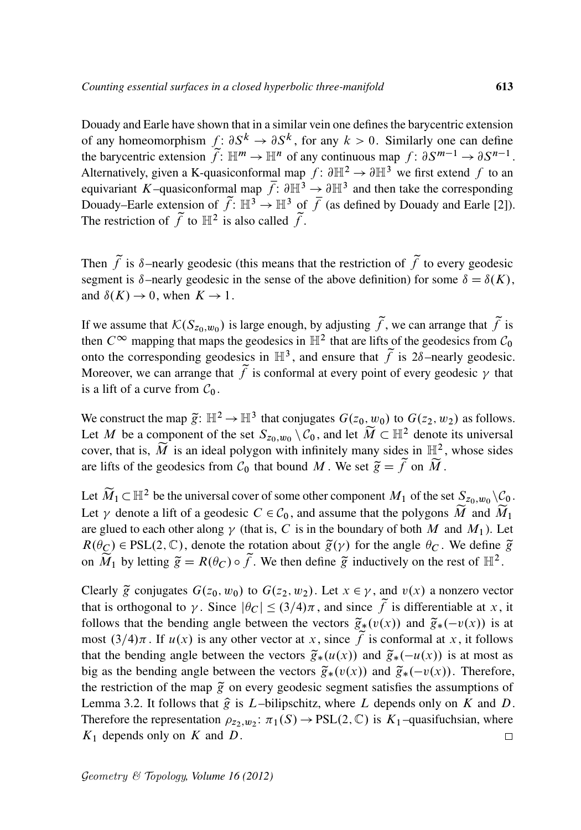Douady and Earle have shown that in a similar vein one defines the barycentric extension of any homeomorphism  $f: \partial S^k \to \partial S^k$ , for any  $k > 0$ . Similarly one can define the barycentric extension  $\widetilde{f}$ :  $\mathbb{H}^m \to \mathbb{H}^n$  of any continuous map  $f: \partial S^{m-1} \to \partial S^{n-1}$ . Alternatively, given a K-quasiconformal map  $f: \partial \mathbb{H}^2 \to \partial \mathbb{H}^3$  we first extend f to an equivariant K–quasiconformal map  $\overline{f}$ :  $\partial \mathbb{H}^3 \to \partial \mathbb{H}^3$  and then take the corresponding Douady–Earle extension of  $\tilde{f}$ :  $\mathbb{H}^3 \to \mathbb{H}^3$  of  $\bar{f}$  (as defined by Douady and Earle [2]). The restriction of  $\tilde{f}$  to  $\mathbb{H}^2$  is also called  $\tilde{f}$ .

Then  $\tilde{f}$  is  $\delta$ –nearly geodesic (this means that the restriction of  $\tilde{f}$  to every geodesic segment is  $\delta$ –nearly geodesic in the sense of the above definition) for some  $\delta = \delta(K)$ , and  $\delta(K) \to 0$ , when  $K \to 1$ .

If we assume that  $\mathcal{K}(S_{z_0,w_0})$  is large enough, by adjusting  $\widetilde{f}$ , we can arrange that  $\widetilde{f}$  is then  $C^{\infty}$  mapping that maps the geodesics in  $\mathbb{H}^2$  that are lifts of the geodesics from  $C_0$ onto the corresponding geodesics in  $\mathbb{H}^3$ , and ensure that  $\tilde{f}$  is  $2\delta$ –nearly geodesic. Moreover, we can arrange that  $\tilde{f}$  is conformal at every point of every geodesic  $\gamma$  that is a lift of a curve from  $C_0$ .

We construct the map  $\tilde{g} \colon \mathbb{H}^2 \to \mathbb{H}^3$  that conjugates  $G(z_0, w_0)$  to  $G(z_2, w_2)$  as follows. Let M be a component of the set  $S_{z_0,w_0} \setminus C_0$ , and let  $\widetilde{M} \subset \mathbb{H}^2$  denote its universal cover, that is,  $\widetilde{M}$  is an ideal polygon with infinitely many sides in  $\mathbb{H}^2$ , whose sides are lifts of the geodesics from  $C_0$  that bound M. We set  $\tilde{g} = \tilde{f}$  on  $\tilde{M}$ .

Let  $\widetilde{M}_1 \subset \mathbb{H}^2$  be the universal cover of some other component  $M_1$  of the set  $S_{z_0,w_0} \setminus C_0$ . Let  $\gamma$  denote a lift of a geodesic  $C \in C_0$ , and assume that the polygons  $\widetilde{M}$  and  $\widetilde{M}_1$ are glued to each other along  $\gamma$  (that is, C is in the boundary of both M and  $M_1$ ). Let  $R(\theta_C) \in \text{PSL}(2, \mathbb{C})$ , denote the rotation about  $\tilde{g}(\gamma)$  for the angle  $\theta_C$ . We define  $\tilde{g}$ on  $\widetilde{M}_1$  by letting  $\widetilde{g} = R(\theta_C) \circ \widetilde{f}$ . We then define  $\widetilde{g}$  inductively on the rest of  $\mathbb{H}^2$ .

Clearly  $\tilde{g}$  conjugates  $G(z_0, w_0)$  to  $G(z_2, w_2)$ . Let  $x \in \gamma$ , and  $v(x)$  a nonzero vector that is orthogonal to  $\gamma$ . Since  $|\theta_C| \leq (3/4)\pi$ , and since  $\tilde{f}$  is differentiable at x, it follows that the bending angle between the vectors  $\tilde{g}_*(v(x))$  and  $\tilde{g}_*(-v(x))$  is at most  $(3/4)\pi$ . If  $u(x)$  is any other vector at x, since f is conformal at x, it follows that the bending angle between the vectors  $\tilde{g}_*(u(x))$  and  $\tilde{g}_*(-u(x))$  is at most as big as the bending angle between the vectors  $\tilde{g}_*(v(x))$  and  $\tilde{g}_*(-v(x))$ . Therefore, the restriction of the map  $\tilde{g}$  on every geodesic segment satisfies the assumptions of Lemma 3.2. It follows that  $\hat{g}$  is L–bilipschitz, where L depends only on K and D. Therefore the representation  $\rho_{z_2,w_2}$ :  $\pi_1(S) \to \text{PSL}(2,\mathbb{C})$  is  $K_1$ -quasifuchsian, where  $K_1$  depends only on K and D.  $\Box$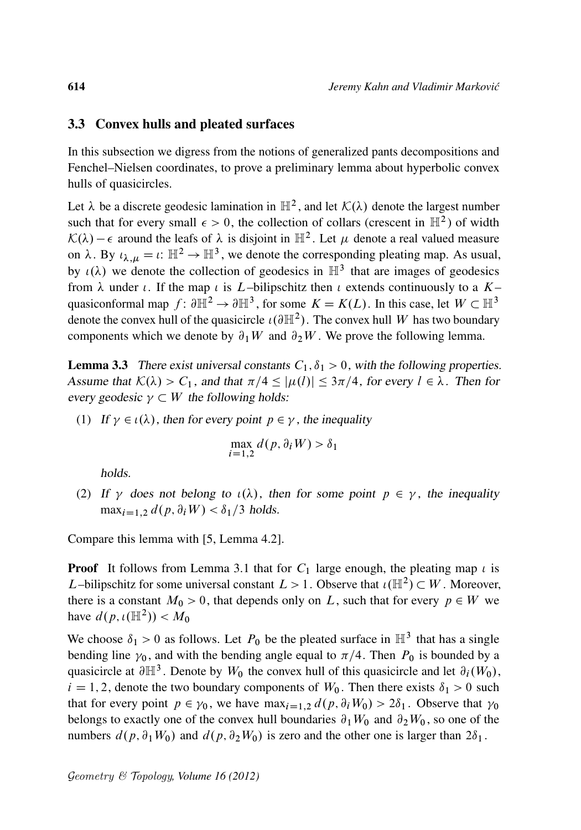#### 3.3 Convex hulls and pleated surfaces

In this subsection we digress from the notions of generalized pants decompositions and Fenchel–Nielsen coordinates, to prove a preliminary lemma about hyperbolic convex hulls of quasicircles.

Let  $\lambda$  be a discrete geodesic lamination in  $\mathbb{H}^2$ , and let  $\mathcal{K}(\lambda)$  denote the largest number such that for every small  $\epsilon > 0$ , the collection of collars (crescent in  $\mathbb{H}^2$ ) of width  $\mathcal{K}(\lambda) - \epsilon$  around the leafs of  $\lambda$  is disjoint in  $\mathbb{H}^2$ . Let  $\mu$  denote a real valued measure on  $\lambda$ . By  $\iota_{\lambda,\mu} = \iota$ :  $\mathbb{H}^2 \to \mathbb{H}^3$ , we denote the corresponding pleating map. As usual, by  $\iota(\lambda)$  we denote the collection of geodesics in  $\mathbb{H}^3$  that are images of geodesics from  $\lambda$  under  $\iota$ . If the map  $\iota$  is  $L$ –bilipschitz then  $\iota$  extends continuously to a  $K$ – quasiconformal map  $f: \partial \mathbb{H}^2 \to \partial \mathbb{H}^3$ , for some  $K = K(L)$ . In this case, let  $W \subset \mathbb{H}^3$ denote the convex hull of the quasicircle  $\iota(\partial \mathbb{H}^2)$ . The convex hull W has two boundary components which we denote by  $\partial_1 W$  and  $\partial_2 W$ . We prove the following lemma.

**Lemma 3.3** There exist universal constants  $C_1$ ,  $\delta_1 > 0$ , with the following properties. Assume that  $K(\lambda) > C_1$ , and that  $\pi/4 \leq |\mu(l)| \leq 3\pi/4$ , for every  $l \in \lambda$ . Then for every geodesic  $\gamma \subset W$  the following holds:

(1) If  $\gamma \in \iota(\lambda)$ , then for every point  $p \in \gamma$ , the inequality

$$
\max_{i=1,2} d(p, \partial_i W) > \delta_1
$$

holds.

(2) If  $\gamma$  does not belong to  $\iota(\lambda)$ , then for some point  $p \in \gamma$ , the inequality  $\max_{i=1,2} d(p, \partial_i W) < \delta_1/3$  holds.

Compare this lemma with [5, Lemma 4.2].

**Proof** It follows from Lemma 3.1 that for  $C_1$  large enough, the pleating map  $\iota$  is L-bilipschitz for some universal constant  $L > 1$ . Observe that  $\iota(\mathbb{H}^2) \subset W$ . Moreover, there is a constant  $M_0 > 0$ , that depends only on L, such that for every  $p \in W$  we have  $d(p, \iota(\mathbb{H}^2)) < M_0$ 

We choose  $\delta_1 > 0$  as follows. Let  $P_0$  be the pleated surface in  $\mathbb{H}^3$  that has a single bending line  $\gamma_0$ , and with the bending angle equal to  $\pi/4$ . Then  $P_0$  is bounded by a quasicircle at  $\partial \mathbb{H}^3$ . Denote by  $W_0$  the convex hull of this quasicircle and let  $\partial_i(W_0)$ ,  $i = 1, 2$ , denote the two boundary components of  $W_0$ . Then there exists  $\delta_1 > 0$  such that for every point  $p \in \gamma_0$ , we have  $\max_{i=1,2} d(p, \partial_i W_0) > 2\delta_1$ . Observe that  $\gamma_0$ belongs to exactly one of the convex hull boundaries  $\partial_1 W_0$  and  $\partial_2 W_0$ , so one of the numbers  $d(p, \partial_1 W_0)$  and  $d(p, \partial_2 W_0)$  is zero and the other one is larger than  $2\delta_1$ .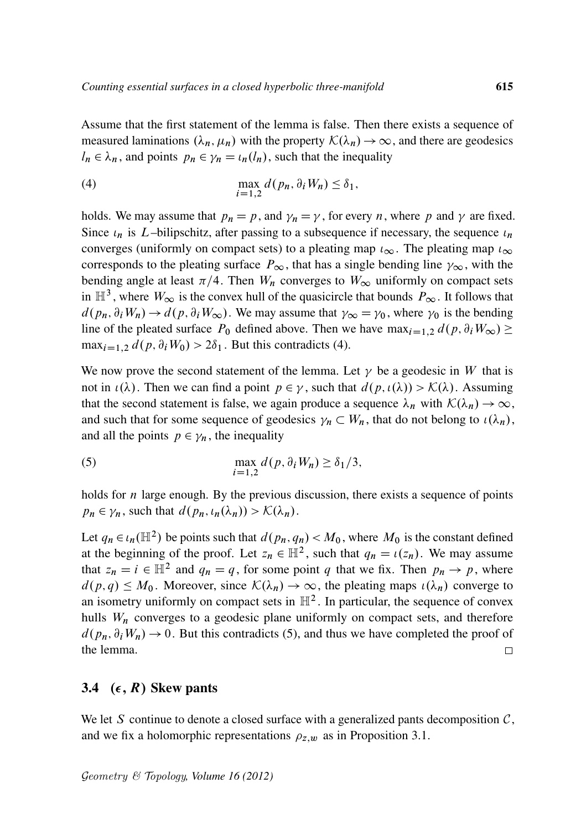Assume that the first statement of the lemma is false. Then there exists a sequence of measured laminations  $(\lambda_n, \mu_n)$  with the property  $\mathcal{K}(\lambda_n) \to \infty$ , and there are geodesics  $l_n \in \lambda_n$ , and points  $p_n \in \gamma_n = \iota_n(l_n)$ , such that the inequality

(4) 
$$
\max_{i=1,2} d(p_n, \partial_i W_n) \leq \delta_1,
$$

holds. We may assume that  $p_n = p$ , and  $\gamma_n = \gamma$ , for every *n*, where *p* and  $\gamma$  are fixed. Since  $\iota_n$  is *L*–bilipschitz, after passing to a subsequence if necessary, the sequence  $\iota_n$ converges (uniformly on compact sets) to a pleating map  $t_{\infty}$ . The pleating map  $t_{\infty}$ corresponds to the pleating surface  $P_{\infty}$ , that has a single bending line  $\gamma_{\infty}$ , with the bending angle at least  $\pi/4$ . Then  $W_n$  converges to  $W_\infty$  uniformly on compact sets in  $\mathbb{H}^3$ , where  $W_{\infty}$  is the convex hull of the quasicircle that bounds  $P_{\infty}$ . It follows that  $d(p_n, \partial_i W_n) \to d(p, \partial_i W_\infty)$ . We may assume that  $\gamma_\infty = \gamma_0$ , where  $\gamma_0$  is the bending line of the pleated surface  $P_0$  defined above. Then we have  $\max_{i=1,2} d(p, \partial_i W_{\infty}) \geq$  $\max_{i=1,2} d(p, \partial_i W_0) > 2\delta_1$ . But this contradicts (4).

We now prove the second statement of the lemma. Let  $\gamma$  be a geodesic in W that is not in  $\iota(\lambda)$ . Then we can find a point  $p \in \gamma$ , such that  $d(p, \iota(\lambda)) > \mathcal{K}(\lambda)$ . Assuming that the second statement is false, we again produce a sequence  $\lambda_n$  with  $\mathcal{K}(\lambda_n) \to \infty$ , and such that for some sequence of geodesics  $\gamma_n \subset W_n$ , that do not belong to  $\iota(\lambda_n)$ , and all the points  $p \in \gamma_n$ , the inequality

(5) 
$$
\max_{i=1,2} d(p, \partial_i W_n) \geq \delta_1/3,
$$

holds for  $n$  large enough. By the previous discussion, there exists a sequence of points  $p_n \in \gamma_n$ , such that  $d(p_n, \iota_n(\lambda_n)) > \mathcal{K}(\lambda_n)$ .

Let  $q_n \in \iota_n(\mathbb{H}^2)$  be points such that  $d(p_n, q_n) < M_0$ , where  $M_0$  is the constant defined at the beginning of the proof. Let  $z_n \in \mathbb{H}^2$ , such that  $q_n = \iota(z_n)$ . We may assume that  $z_n = i \in \mathbb{H}^2$  and  $q_n = q$ , for some point q that we fix. Then  $p_n \to p$ , where  $d(p,q) \leq M_0$ . Moreover, since  $\mathcal{K}(\lambda_n) \to \infty$ , the pleating maps  $\iota(\lambda_n)$  converge to an isometry uniformly on compact sets in  $\mathbb{H}^2$ . In particular, the sequence of convex hulls  $W_n$  converges to a geodesic plane uniformly on compact sets, and therefore  $d(p_n, \partial_i W_n) \rightarrow 0$ . But this contradicts (5), and thus we have completed the proof of the lemma.  $\Box$ 

### 3.4  $(\epsilon, R)$  Skew pants

We let S continue to denote a closed surface with a generalized pants decomposition  $C$ , and we fix a holomorphic representations  $\rho_{z,w}$  as in Proposition 3.1.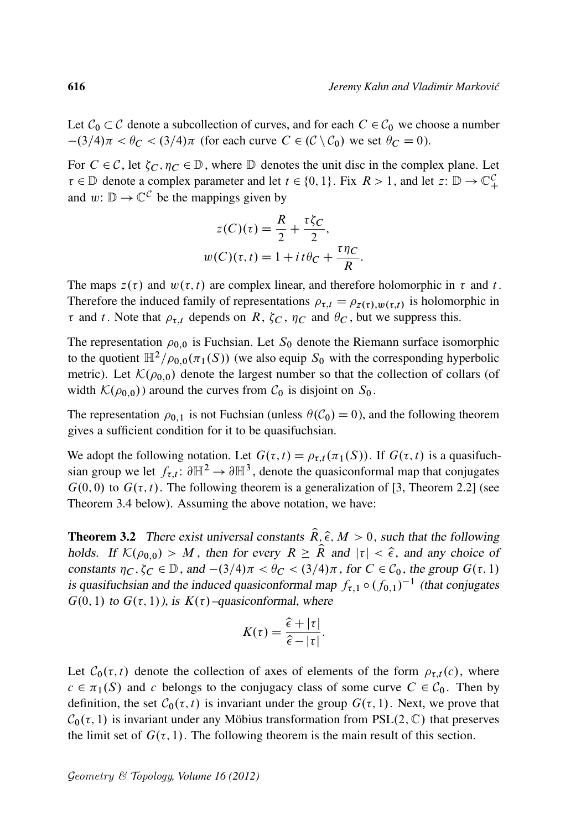Let  $C_0 \subset C$  denote a subcollection of curves, and for each  $C \in C_0$  we choose a number  $-(3/4)\pi < \theta_C < (3/4)\pi$  (for each curve  $C \in (\mathcal{C} \setminus \mathcal{C}_0)$  we set  $\theta_C = 0$ ).

For  $C \in \mathcal{C}$ , let  $\zeta_C$ ,  $\eta_C \in \mathbb{D}$ , where  $\mathbb D$  denotes the unit disc in the complex plane. Let  $\tau \in \mathbb{D}$  denote a complex parameter and let  $t \in \{0, 1\}$ . Fix  $R > 1$ , and let  $z: \mathbb{D} \to \mathbb{C}_+^C$ and  $w: \mathbb{D} \to \mathbb{C}^{\mathcal{C}}$  be the mappings given by

$$
z(C)(\tau) = \frac{R}{2} + \frac{\tau \zeta_C}{2},
$$
  

$$
w(C)(\tau, t) = 1 + it\theta_C + \frac{\tau \eta_C}{R}.
$$

The maps  $z(\tau)$  and  $w(\tau, t)$  are complex linear, and therefore holomorphic in  $\tau$  and t. Therefore the induced family of representations  $\rho_{\tau,t} = \rho_{z(\tau),w(\tau,t)}$  is holomorphic in  $\tau$  and t. Note that  $\rho_{\tau,t}$  depends on R,  $\zeta_C$ ,  $\eta_C$  and  $\theta_C$ , but we suppress this.

The representation  $\rho_{0,0}$  is Fuchsian. Let  $S_0$  denote the Riemann surface isomorphic to the quotient  $\mathbb{H}^2/\rho_{0,0}(\pi_1(S))$  (we also equip  $S_0$  with the corresponding hyperbolic metric). Let  $\mathcal{K}(\rho_{0,0})$  denote the largest number so that the collection of collars (of width  $\mathcal{K}(\rho_{0,0})$  around the curves from  $\mathcal{C}_0$  is disjoint on  $S_0$ .

The representation  $\rho_{0,1}$  is not Fuchsian (unless  $\theta(\mathcal{C}_0) = 0$ ), and the following theorem gives a sufficient condition for it to be quasifuchsian.

We adopt the following notation. Let  $G(\tau, t) = \rho_{\tau,t}(\pi_1(S))$ . If  $G(\tau, t)$  is a quasifuchsian group we let  $f_{\tau,t}$ :  $\partial \mathbb{H}^2 \to \partial \mathbb{H}^3$ , denote the quasiconformal map that conjugates  $G(0,0)$  to  $G(\tau,t)$ . The following theorem is a generalization of [3, Theorem 2.2] (see Theorem 3.4 below). Assuming the above notation, we have:

**Theorem 3.2** There exist universal constants  $\hat{R}, \hat{\epsilon}, M > 0$ , such that the following holds. If  $\mathcal{K}(\rho_{0,0}) > M$ , then for every  $R \geq \hat{R}$  and  $|\tau| < \hat{\epsilon}$ , and any choice of constants  $\eta_C, \zeta_C \in \mathbb{D}$ , and  $-(3/4)\pi < \theta_C < (3/4)\pi$ , for  $C \in \mathcal{C}_0$ , the group  $G(\tau, 1)$ is quasifuchsian and the induced quasiconformal map  $f_{\tau,1} \circ (f_{0,1})^{-1}$  (that conjugates  $G(0, 1)$  to  $G(\tau, 1)$ , is  $K(\tau)$ -quasiconformal, where

$$
K(\tau) = \frac{\hat{\epsilon} + |\tau|}{\hat{\epsilon} - |\tau|}.
$$

Let  $C_0(\tau, t)$  denote the collection of axes of elements of the form  $\rho_{\tau,t}(c)$ , where  $c \in \pi_1(S)$  and c belongs to the conjugacy class of some curve  $C \in C_0$ . Then by definition, the set  $C_0(\tau, t)$  is invariant under the group  $G(\tau, 1)$ . Next, we prove that  $C_0(\tau, 1)$  is invariant under any Möbius transformation from PSL $(2, \mathbb{C})$  that preserves the limit set of  $G(\tau, 1)$ . The following theorem is the main result of this section.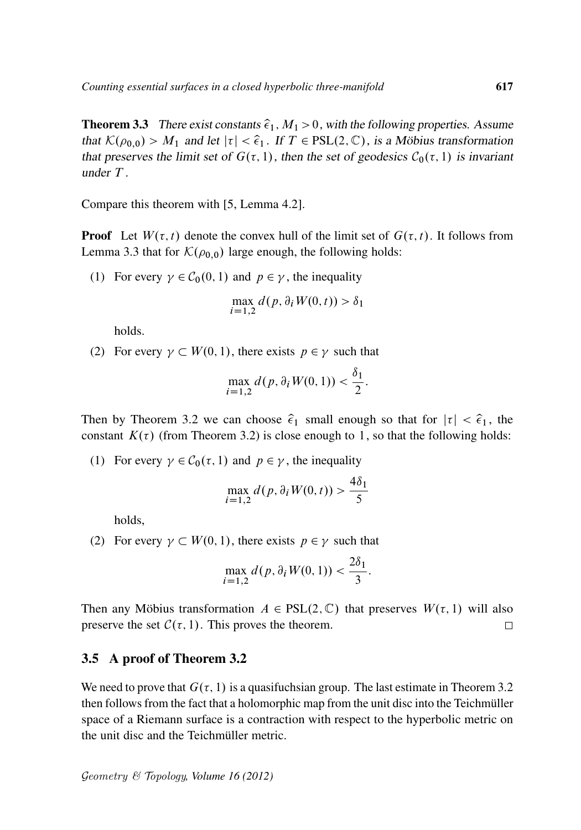**Theorem 3.3** There exist constants  $\hat{\epsilon}_1$ ,  $M_1 > 0$ , with the following properties. Assume that  $\mathcal{K}(\rho_{0,0}) > M_1$  and let  $|\tau| < \hat{\epsilon}_1$ . If  $T \in PSL(2,\mathbb{C})$ , is a Möbius transformation that preserves the limit set of  $G(\tau, 1)$ , then the set of geodesics  $C_0(\tau, 1)$  is invariant under T .

Compare this theorem with [5, Lemma 4.2].

**Proof** Let  $W(\tau, t)$  denote the convex hull of the limit set of  $G(\tau, t)$ . It follows from Lemma 3.3 that for  $\mathcal{K}(\rho_{0,0})$  large enough, the following holds:

(1) For every  $\gamma \in C_0(0, 1)$  and  $p \in \gamma$ , the inequality

$$
\max_{i=1,2} d(p, \partial_i W(0, t)) > \delta_1
$$

holds.

(2) For every  $\gamma \subset W(0, 1)$ , there exists  $p \in \gamma$  such that

$$
\max_{i=1,2} d(p, \partial_i W(0, 1)) < \frac{\delta_1}{2}.
$$

Then by Theorem 3.2 we can choose  $\hat{\epsilon}_1$  small enough so that for  $|\tau| < \hat{\epsilon}_1$ , the constant  $K(\tau)$  (from Theorem 3.2) is close enough to 1, so that the following holds:

(1) For every  $\gamma \in C_0(\tau, 1)$  and  $p \in \gamma$ , the inequality

$$
\max_{i=1,2} d(p, \partial_i W(0, t)) > \frac{4\delta_1}{5}
$$

holds,

(2) For every  $\gamma \subset W(0, 1)$ , there exists  $p \in \gamma$  such that

$$
\max_{i=1,2} d(p, \partial_i W(0, 1)) < \frac{2\delta_1}{3}.
$$

Then any Möbius transformation  $A \in PSL(2, \mathbb{C})$  that preserves  $W(\tau, 1)$  will also preserve the set  $C(\tau, 1)$ . This proves the theorem.  $\Box$ 

#### 3.5 A proof of Theorem 3.2

We need to prove that  $G(\tau, 1)$  is a quasifuchsian group. The last estimate in Theorem 3.2 then follows from the fact that a holomorphic map from the unit disc into the Teichmüller space of a Riemann surface is a contraction with respect to the hyperbolic metric on the unit disc and the Teichmüller metric.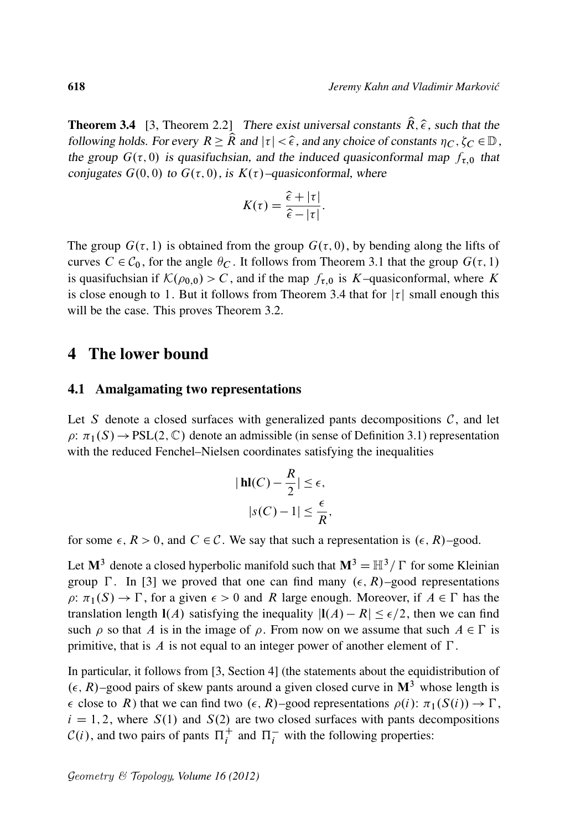**Theorem 3.4** [3, Theorem 2.2] There exist universal constants  $\hat{R}$ ,  $\hat{\epsilon}$ , such that the following holds. For every  $R \geq \hat{R}$  and  $|\tau| < \hat{\epsilon}$ , and any choice of constants  $\eta_C, \zeta_C \in \mathbb{D}$ , the group  $G(\tau, 0)$  is quasifuchsian, and the induced quasiconformal map  $f_{\tau,0}$  that conjugates  $G(0, 0)$  to  $G(\tau, 0)$ , is  $K(\tau)$ -quasiconformal, where

$$
K(\tau) = \frac{\hat{\epsilon} + |\tau|}{\hat{\epsilon} - |\tau|}.
$$

The group  $G(\tau, 1)$  is obtained from the group  $G(\tau, 0)$ , by bending along the lifts of curves  $C \in C_0$ , for the angle  $\theta_C$ . It follows from Theorem 3.1 that the group  $G(\tau, 1)$ is quasifuchsian if  $K(\rho_{0,0}) > C$ , and if the map  $f_{\tau,0}$  is K–quasiconformal, where K is close enough to 1. But it follows from Theorem 3.4 that for  $|\tau|$  small enough this will be the case. This proves Theorem 3.2.

#### 4 The lower bound

#### 4.1 Amalgamating two representations

Let S denote a closed surfaces with generalized pants decompositions  $C$ , and let  $\rho: \pi_1(S) \to PSL(2, \mathbb{C})$  denote an admissible (in sense of Definition 3.1) representation with the reduced Fenchel–Nielsen coordinates satisfying the inequalities

$$
|\mathbf{hl}(C) - \frac{R}{2}| \le \epsilon,
$$
  

$$
|s(C) - 1| \le \frac{\epsilon}{R},
$$

for some  $\epsilon$ ,  $R > 0$ , and  $C \in \mathcal{C}$ . We say that such a representation is  $(\epsilon, R)$ –good.

Let  $M^3$  denote a closed hyperbolic manifold such that  $M^3 = H^3 / \Gamma$  for some Kleinian group  $\Gamma$ . In [3] we proved that one can find many  $(\epsilon, R)$ –good representations  $\rho: \pi_1(S) \to \Gamma$ , for a given  $\epsilon > 0$  and R large enough. Moreover, if  $A \in \Gamma$  has the translation length  $I(A)$  satisfying the inequality  $|I(A) - R| \leq \epsilon/2$ , then we can find such  $\rho$  so that A is in the image of  $\rho$ . From now on we assume that such  $A \in \Gamma$  is primitive, that is  $\Lambda$  is not equal to an integer power of another element of  $\Gamma$ .

In particular, it follows from [3, Section 4] (the statements about the equidistribution of  $(\epsilon, R)$ –good pairs of skew pants around a given closed curve in  $\mathbf{M}^3$  whose length is  $\epsilon$  close to R) that we can find two  $(\epsilon, R)$ –good representations  $\rho(i): \pi_1(S(i)) \to \Gamma$ ,  $i = 1, 2$ , where  $S(1)$  and  $S(2)$  are two closed surfaces with pants decompositions  $C(i)$ , and two pairs of pants  $\Pi_i^+$  and  $\Pi_i^-$  with the following properties: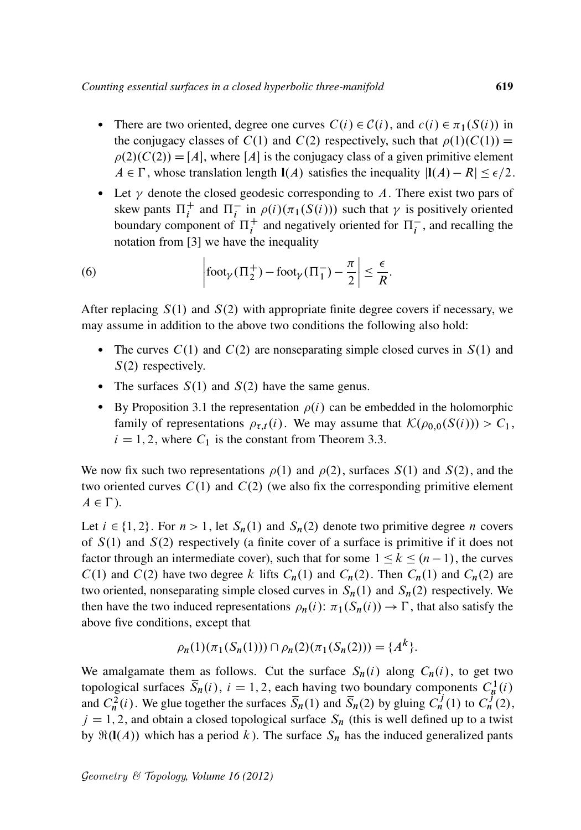- There are two oriented, degree one curves  $C(i) \in C(i)$ , and  $c(i) \in \pi_1(S(i))$  in the conjugacy classes of  $C(1)$  and  $C(2)$  respectively, such that  $\rho(1)(C(1)) =$  $\rho(2)(C(2)) = [A]$ , where [A] is the conjugacy class of a given primitive element  $A \in \Gamma$ , whose translation length  $I(A)$  satisfies the inequality  $|I(A) - R| \leq \epsilon/2$ .
- Let  $\gamma$  denote the closed geodesic corresponding to A. There exist two pars of skew pants  $\Pi_i^+$  and  $\Pi_i^-$  in  $\rho(i)$  ( $\pi_1(S(i))$ ) such that  $\gamma$  is positively oriented boundary component of  $\Pi_i^+$  and negatively oriented for  $\Pi_i^-$ , and recalling the notation from [3] we have the inequality

(6) 
$$
\left|\operatorname{foot}_{\gamma}(\Pi_2^+) - \operatorname{foot}_{\gamma}(\Pi_1^-) - \frac{\pi}{2}\right| \leq \frac{\epsilon}{R}.
$$

After replacing  $S(1)$  and  $S(2)$  with appropriate finite degree covers if necessary, we may assume in addition to the above two conditions the following also hold:

- The curves  $C(1)$  and  $C(2)$  are nonseparating simple closed curves in  $S(1)$  and  $S(2)$  respectively.
- The surfaces  $S(1)$  and  $S(2)$  have the same genus.
- By Proposition 3.1 the representation  $\rho(i)$  can be embedded in the holomorphic family of representations  $\rho_{\tau,t}(i)$ . We may assume that  $\mathcal{K}(\rho_{0,0}(S(i))) > C_1$ ,  $i = 1, 2$ , where  $C_1$  is the constant from Theorem 3.3.

We now fix such two representations  $\rho(1)$  and  $\rho(2)$ , surfaces  $S(1)$  and  $S(2)$ , and the two oriented curves  $C(1)$  and  $C(2)$  (we also fix the corresponding primitive element  $A \in \Gamma$ ).

Let  $i \in \{1, 2\}$ . For  $n > 1$ , let  $S_n(1)$  and  $S_n(2)$  denote two primitive degree n covers of  $S(1)$  and  $S(2)$  respectively (a finite cover of a surface is primitive if it does not factor through an intermediate cover), such that for some  $1 \le k \le (n - 1)$ , the curves  $C(1)$  and  $C(2)$  have two degree k lifts  $C_n(1)$  and  $C_n(2)$ . Then  $C_n(1)$  and  $C_n(2)$  are two oriented, nonseparating simple closed curves in  $S_n(1)$  and  $S_n(2)$  respectively. We then have the two induced representations  $\rho_n(i)$ :  $\pi_1(S_n(i)) \to \Gamma$ , that also satisfy the above five conditions, except that

$$
\rho_n(1)(\pi_1(S_n(1))) \cap \rho_n(2)(\pi_1(S_n(2))) = \{A^k\}.
$$

We amalgamate them as follows. Cut the surface  $S_n(i)$  along  $C_n(i)$ , to get two topological surfaces  $\overline{S}_n(i)$ ,  $i = 1, 2$ , each having two boundary components  $C_n^1(i)$ and  $C_n^2(i)$ . We glue together the surfaces  $\overline{S}_n(1)$  and  $\overline{S}_n(2)$  by gluing  $C_n^j(1)$  to  $C_n^j(2)$ ,  $j = 1, 2$ , and obtain a closed topological surface  $S_n$  (this is well defined up to a twist by  $\Re(I(A))$  which has a period k ). The surface  $S_n$  has the induced generalized pants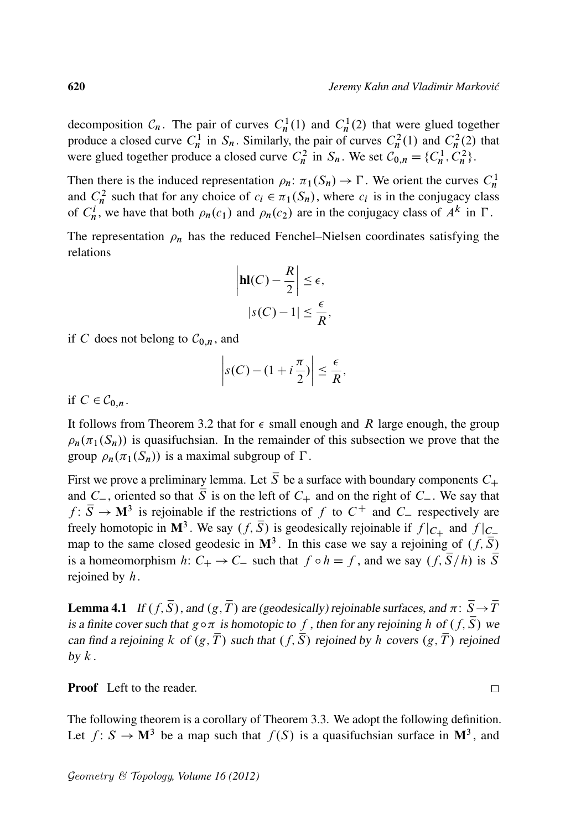decomposition  $C_n$ . The pair of curves  $C_n^1(1)$  and  $C_n^1(2)$  that were glued together produce a closed curve  $C_n^1$  in  $S_n$ . Similarly, the pair of curves  $C_n^2(1)$  and  $C_n^2(2)$  that were glued together produce a closed curve  $C_n^2$  in  $S_n$ . We set  $C_{0,n} = \{C_n^1, C_n^2\}$ .

Then there is the induced representation  $\rho_n: \pi_1(S_n) \to \Gamma$ . We orient the curves  $C_n^1$ and  $C_n^2$  such that for any choice of  $c_i \in \pi_1(S_n)$ , where  $c_i$  is in the conjugacy class of  $C_n^i$ , we have that both  $\rho_n(c_1)$  and  $\rho_n(c_2)$  are in the conjugacy class of  $A^k$  in  $\Gamma$ .

The representation  $\rho_n$  has the reduced Fenchel–Nielsen coordinates satisfying the relations

$$
\left|\mathbf{hl}(C) - \frac{R}{2}\right| \le \epsilon,
$$
  

$$
|s(C) - 1| \le \frac{\epsilon}{R},
$$

if C does not belong to  $C_{0,n}$ , and

$$
\left| s(C) - (1 + i\frac{\pi}{2}) \right| \leq \frac{\epsilon}{R},
$$

if  $C \in \mathcal{C}_{0,n}$ .

It follows from Theorem 3.2 that for  $\epsilon$  small enough and R large enough, the group  $\rho_n(\pi_1(S_n))$  is quasifuchsian. In the remainder of this subsection we prove that the group  $\rho_n(\pi_1(S_n))$  is a maximal subgroup of  $\Gamma$ .

First we prove a preliminary lemma. Let  $\overline{S}$  be a surface with boundary components  $C_+$ and  $C_{-}$ , oriented so that  $\overline{S}$  is on the left of  $C_{+}$  and on the right of  $C_{-}$ . We say that  $f: \overline{S} \to M^3$  is rejoinable if the restrictions of f to  $C^+$  and  $C^-$  respectively are freely homotopic in M<sup>3</sup>. We say  $(f, \overline{S})$  is geodesically rejoinable if  $f|_{C_{+}}$  and  $f|_{C_{-}}$ map to the same closed geodesic in  $\mathbf{M}^3$ . In this case we say a rejoining of  $(f, \overline{S})$ is a homeomorphism h:  $C_+ \rightarrow C_-$  such that  $f \circ h = f$ , and we say  $(f, \overline{S}/h)$  is  $\overline{S}$ rejoined by  $h$ .

**Lemma 4.1** If  $(f, \overline{S})$ , and  $(g, \overline{T})$  are (geodesically) rejoinable surfaces, and  $\pi: \overline{S} \to \overline{T}$ is a finite cover such that  $g \circ \pi$  is homotopic to f, then for any rejoining h of  $(f, \overline{S})$  we can find a rejoining k of  $(g, \overline{T})$  such that  $(f, \overline{S})$  rejoined by h covers  $(g, \overline{T})$  rejoined by  $k$ .

Proof Left to the reader.

The following theorem is a corollary of Theorem 3.3. We adopt the following definition. Let  $f: S \to M^3$  be a map such that  $f(S)$  is a quasifuchsian surface in  $M^3$ , and

 $\Box$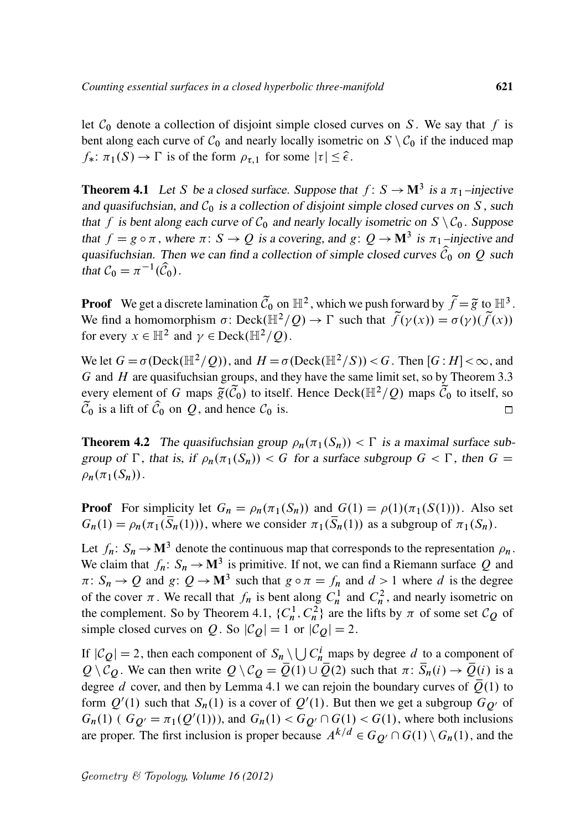let  $C_0$  denote a collection of disjoint simple closed curves on S. We say that f is bent along each curve of  $C_0$  and nearly locally isometric on  $S \setminus C_0$  if the induced map  $f_*: \pi_1(S) \to \Gamma$  is of the form  $\rho_{\tau,1}$  for some  $|\tau| \leq \hat{\epsilon}$ .

**Theorem 4.1** Let S be a closed surface. Suppose that  $f: S \to M^3$  is a  $\pi_1$ -injective and quasifuchsian, and  $C_0$  is a collection of disjoint simple closed curves on S, such that f is bent along each curve of  $C_0$  and nearly locally isometric on  $S \setminus C_0$ . Suppose that  $f = g \circ \pi$ , where  $\pi: S \to Q$  is a covering, and  $g: Q \to M^3$  is  $\pi_1$ -injective and quasifuchsian. Then we can find a collection of simple closed curves  $\hat{C}_0$  on Q such that  $C_0 = \pi^{-1}(\widehat{C}_0)$ .

**Proof** We get a discrete lamination  $\tilde{C}_0$  on  $\mathbb{H}^2$ , which we push forward by  $\tilde{f} = \tilde{g}$  to  $\mathbb{H}^3$ . We find a homomorphism  $\sigma$ : Deck $(\mathbb{H}^2/Q) \to \Gamma$  such that  $\tilde{f}(\gamma(x)) = \sigma(\gamma)(\tilde{f}(x))$ for every  $x \in \mathbb{H}^2$  and  $\gamma \in \text{Deck}(\mathbb{H}^2/Q)$ .

We let  $G = \sigma(\text{Deck}(\mathbb{H}^2/\mathcal{Q}))$ , and  $H = \sigma(\text{Deck}(\mathbb{H}^2/S)) < G$ . Then  $[G:H] < \infty$ , and  $G$  and  $H$  are quasifuchsian groups, and they have the same limit set, so by Theorem 3.3 every element of G maps  $\tilde{g}(\tilde{C}_0)$  to itself. Hence Deck( $\mathbb{H}^2/Q$ ) maps  $\tilde{C}_0$  to itself, so  $\tilde{\mathcal{C}}_0$  is a lift of  $\hat{\mathcal{C}}_0$  on  $\hat{\mathcal{Q}}$ , and hence  $\mathcal{C}_0$  is.  $\Box$ 

**Theorem 4.2** The quasifuchsian group  $\rho_n(\pi_1(S_n)) < \Gamma$  is a maximal surface subgroup of  $\Gamma$ , that is, if  $\rho_n(\pi_1(S_n)) < G$  for a surface subgroup  $G < \Gamma$ , then  $G =$  $\rho_n(\pi_1(S_n)).$ 

**Proof** For simplicity let  $G_n = \rho_n(\pi_1(S_n))$  and  $G(1) = \rho(1)(\pi_1(S(1)))$ . Also set  $G_n(1) = \rho_n(\pi_1(\overline{S}_n(1)))$ , where we consider  $\pi_1(\overline{S}_n(1))$  as a subgroup of  $\pi_1(S_n)$ .

Let  $f_n: S_n \to M^3$  denote the continuous map that corresponds to the representation  $\rho_n$ . We claim that  $f_n: S_n \to M^3$  is primitive. If not, we can find a Riemann surface Q and  $\pi: S_n \to Q$  and  $g: Q \to M^3$  such that  $g \circ \pi = f_n$  and  $d > 1$  where d is the degree of the cover  $\pi$ . We recall that  $f_n$  is bent along  $C_n^1$  and  $C_n^2$ , and nearly isometric on the complement. So by Theorem 4.1,  $\{C_n^1, C_n^2\}$  are the lifts by  $\pi$  of some set  $\mathcal{C}_Q$  of simple closed curves on Q. So  $|\mathcal{C}_Q| = 1$  or  $|\mathcal{C}_Q| = 2$ .

If  $|C_Q| = 2$ , then each component of  $S_n \setminus \bigcup C_n^i$  maps by degree d to a component of  $Q \setminus C_Q$ . We can then write  $Q \setminus C_Q = \overline{Q}(1) \cup \overline{Q}(2)$  such that  $\pi: \overline{S}_n(i) \to \overline{Q}(i)$  is a degree d cover, and then by Lemma 4.1 we can rejoin the boundary curves of  $Q(1)$  to form  $Q'(1)$  such that  $S_n(1)$  is a cover of  $Q'(1)$ . But then we get a subgroup  $G_{Q'}$  of  $G_n(1)$  (  $G_{Q'} = \pi_1(Q'(1))$ ), and  $G_n(1) < G_{Q'} \cap G(1) < G(1)$ , where both inclusions are proper. The first inclusion is proper because  $A^{k/d} \in G_{Q'} \cap G(1) \setminus G_n(1)$ , and the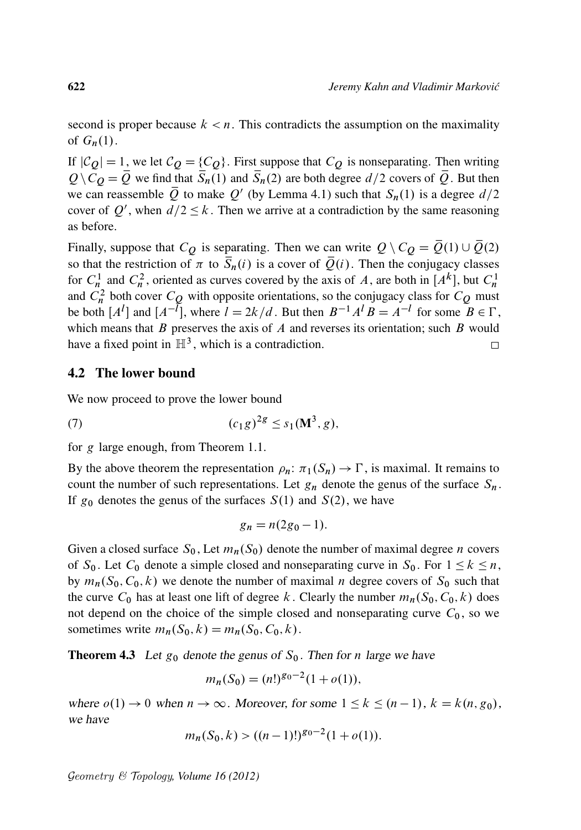second is proper because  $k < n$ . This contradicts the assumption on the maximality of  $G_n(1)$ .

If  $|C_Q|=1$ , we let  $C_Q = \{C_Q\}$ . First suppose that  $C_Q$  is nonseparating. Then writing  $Q\setminus C_{\mathcal{O}} = \overline{Q}$  we find that  $\overline{S}_n(1)$  and  $\overline{S}_n(2)$  are both degree  $d/2$  covers of  $\overline{Q}$ . But then we can reassemble  $\overline{Q}$  to make  $Q'$  (by Lemma 4.1) such that  $S_n(1)$  is a degree  $d/2$ cover of Q', when  $d/2 \le k$ . Then we arrive at a contradiction by the same reasoning as before.

Finally, suppose that  $C_Q$  is separating. Then we can write  $Q \setminus C_Q = \overline{Q}(1) \cup \overline{Q}(2)$ so that the restriction of  $\pi$  to  $\overline{S}_n(i)$  is a cover of  $\overline{Q}(i)$ . Then the conjugacy classes for  $C_n^1$  and  $C_n^2$ , oriented as curves covered by the axis of A, are both in  $[A^k]$ , but  $C_n^1$ and  $C_n^2$  both cover  $C_Q$  with opposite orientations, so the conjugacy class for  $C_Q$  must be both  $[A^l]$  and  $[A^{-l}]$ , where  $l = 2k/d$ . But then  $B^{-1}A^lB = A^{-l}$  for some  $B \in \Gamma$ , which means that  $B$  preserves the axis of  $A$  and reverses its orientation; such  $B$  would have a fixed point in  $\mathbb{H}^3$ , which is a contradiction.  $\Box$ 

#### 4.2 The lower bound

We now proceed to prove the lower bound

(7) 
$$
(c_1 g)^{2g} \leq s_1(M^3, g),
$$

for g large enough, from Theorem 1.1.

By the above theorem the representation  $\rho_n: \pi_1(S_n) \to \Gamma$ , is maximal. It remains to count the number of such representations. Let  $g_n$  denote the genus of the surface  $S_n$ . If  $g_0$  denotes the genus of the surfaces  $S(1)$  and  $S(2)$ , we have

$$
g_n = n(2g_0 - 1).
$$

Given a closed surface  $S_0$ , Let  $m_n(S_0)$  denote the number of maximal degree *n* covers of  $S_0$ . Let  $C_0$  denote a simple closed and nonseparating curve in  $S_0$ . For  $1 \le k \le n$ , by  $m_n(S_0, C_0, k)$  we denote the number of maximal *n* degree covers of  $S_0$  such that the curve  $C_0$  has at least one lift of degree k. Clearly the number  $m_n(S_0, C_0, k)$  does not depend on the choice of the simple closed and nonseparating curve  $C_0$ , so we sometimes write  $m_n(S_0, k) = m_n(S_0, C_0, k)$ .

**Theorem 4.3** Let  $g_0$  denote the genus of  $S_0$ . Then for n large we have

$$
m_n(S_0) = (n!)^{g_0 - 2} (1 + o(1)),
$$

where  $o(1) \rightarrow 0$  when  $n \rightarrow \infty$ . Moreover, for some  $1 \le k \le (n-1)$ ,  $k = k(n, g_0)$ , we have

$$
m_n(S_0, k) > ((n-1)!)^{g_0-2}(1+o(1)).
$$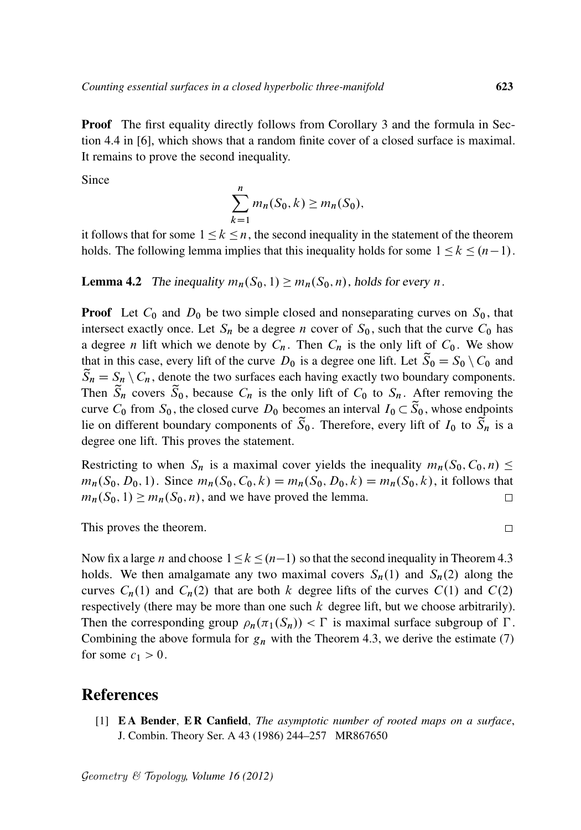**Proof** The first equality directly follows from Corollary 3 and the formula in Section 4.4 in [6], which shows that a random finite cover of a closed surface is maximal. It remains to prove the second inequality.

Since

$$
\sum_{k=1}^n m_n(S_0, k) \ge m_n(S_0),
$$

it follows that for some  $1 \leq k \leq n$ , the second inequality in the statement of the theorem holds. The following lemma implies that this inequality holds for some  $1 \leq k \leq (n-1)$ .

**Lemma 4.2** The inequality  $m_n(S_0, 1) \ge m_n(S_0, n)$ , holds for every n.

**Proof** Let  $C_0$  and  $D_0$  be two simple closed and nonseparating curves on  $S_0$ , that intersect exactly once. Let  $S_n$  be a degree *n* cover of  $S_0$ , such that the curve  $C_0$  has a degree *n* lift which we denote by  $C_n$ . Then  $C_n$  is the only lift of  $C_0$ . We show that in this case, every lift of the curve  $D_0$  is a degree one lift. Let  $\tilde{S}_0 = S_0 \setminus C_0$  and  $\widetilde{S}_n = S_n \setminus C_n$ , denote the two surfaces each having exactly two boundary components. Then  $\tilde{S}_n$  covers  $\tilde{S}_0$ , because  $C_n$  is the only lift of  $C_0$  to  $S_n$ . After removing the curve  $C_0$  from  $S_0$ , the closed curve  $D_0$  becomes an interval  $I_0 \subset \widetilde{S}_0$ , whose endpoints lie on different boundary components of  $\widetilde{S}_0$ . Therefore, every lift of  $I_0$  to  $\widetilde{S}_n$  is a degree one lift. This proves the statement.

Restricting to when  $S_n$  is a maximal cover yields the inequality  $m_n(S_0, C_0, n) \leq$  $m_n(S_0, D_0, 1)$ . Since  $m_n(S_0, C_0, k) = m_n(S_0, D_0, k) = m_n(S_0, k)$ , it follows that  $m_n(S_0, 1) \geq m_n(S_0, n)$ , and we have proved the lemma. □

This proves the theorem.

Now fix a large *n* and choose  $1 \le k \le (n-1)$  so that the second inequality in Theorem 4.3 holds. We then amalgamate any two maximal covers  $S_n(1)$  and  $S_n(2)$  along the curves  $C_n(1)$  and  $C_n(2)$  that are both k degree lifts of the curves  $C(1)$  and  $C(2)$ respectively (there may be more than one such  $k$  degree lift, but we choose arbitrarily). Then the corresponding group  $\rho_n(\pi_1(S_n)) < \Gamma$  is maximal surface subgroup of  $\Gamma$ . Combining the above formula for  $g_n$  with the Theorem 4.3, we derive the estimate (7) for some  $c_1 > 0$ .

### References

[1] E A Bender, E R Canfield, *The asymptotic number of rooted maps on a surface*, J. Combin. Theory Ser. A 43 (1986) 244–257 MR867650

 $\Box$